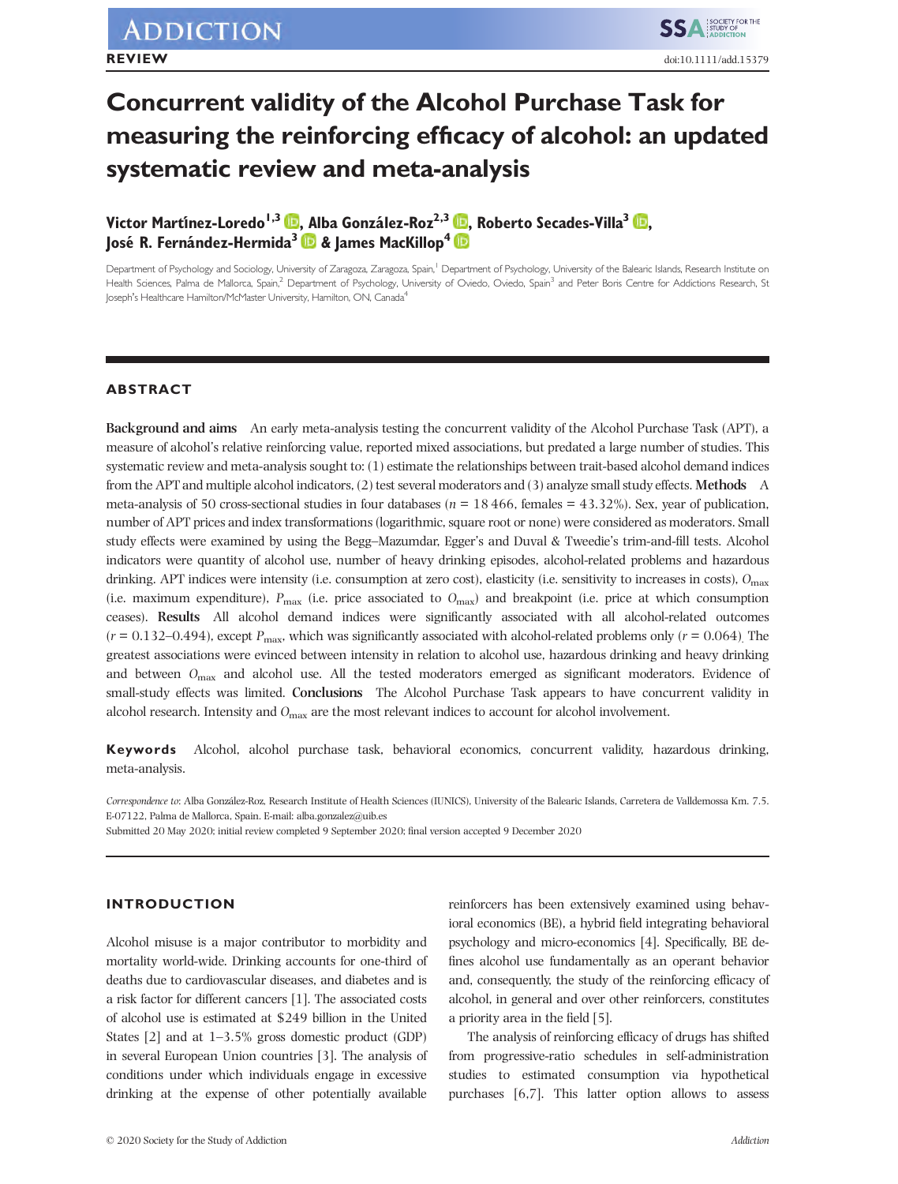# **Concurrent validity of the Alcohol Purchase Task for measuring the reinforcing efficacy of alcohol: an updated systematic review and meta-analysis**

**Victor Martínez-Loredo<sup>1[,](https://orcid.org/0000-0001-8106-6594)3</sup> <b>D**, Alba González-Roz<sup>2,3</sup> **D**, Roberto Secades-Villa<sup>3</sup> D, **José R. Fernández-Hermida3 & James MacKillop4**

Department of Psychology and Sociology, University of Zaragoza, Zaragoza, Spain,<sup>1</sup> Department of Psychology, University of the Balearic Islands, Research Institute on Health Sciences, Palma de Mallorca, Spain,<sup>2</sup> Department of Psychology, University of Oviedo, Oviedo, Spain<sup>3</sup> and Peter Boris Centre for Addictions Research, St Joseph's Healthcare Hamilton/McMaster University, Hamilton, ON, Canada<sup>4</sup>

# **ABSTRACT**

**Background and aims** An early meta-analysis testing the concurrent validity of the Alcohol Purchase Task (APT), a measure of alcohol's relative reinforcing value, reported mixed associations, but predated a large number of studies. This systematic review and meta-analysis sought to: (1) estimate the relationships between trait-based alcohol demand indices from the APT and multiple alcohol indicators, (2) test several moderators and (3) analyze small study effects. **Methods** A meta-analysis of 50 cross-sectional studies in four databases (*n* = 18 466, females = 43.32%). Sex, year of publication, number of APT prices and index transformations (logarithmic, square root or none) were considered as moderators. Small study effects were examined by using the Begg–Mazumdar, Egger's and Duval & Tweedie's trim-and-fill tests. Alcohol indicators were quantity of alcohol use, number of heavy drinking episodes, alcohol-related problems and hazardous drinking. APT indices were intensity (i.e. consumption at zero cost), elasticity (i.e. sensitivity to increases in costs), *O*max (i.e. maximum expenditure), *P*max (i.e. price associated to *O*max) and breakpoint (i.e. price at which consumption ceases). **Results** All alcohol demand indices were significantly associated with all alcohol-related outcomes  $(r = 0.132 - 0.494)$ , except  $P_{\text{max}}$ , which was significantly associated with alcohol-related problems only  $(r = 0.064)$ . The greatest associations were evinced between intensity in relation to alcohol use, hazardous drinking and heavy drinking and between  $O_{\text{max}}$  and alcohol use. All the tested moderators emerged as significant moderators. Evidence of small-study effects was limited. **Conclusions** The Alcohol Purchase Task appears to have concurrent validity in alcohol research. Intensity and *O*max are the most relevant indices to account for alcohol involvement.

**Keywords** Alcohol, alcohol purchase task, behavioral economics, concurrent validity, hazardous drinking, meta-analysis.

*Correspondence to*: Alba González-Roz, Research Institute of Health Sciences (IUNICS), University of the Balearic Islands, Carretera de Valldemossa Km. 7.5. E-07122, Palma de Mallorca, Spain. E-mail: [alba.gonzalez@uib.es](mailto:alba.gonzalez@uib.es)

Submitted 20 May 2020; initial review completed 9 September 2020; final version accepted 9 December 2020

# **INTRODUCTION**

Alcohol misuse is a major contributor to morbidity and mortality world-wide. Drinking accounts for one-third of deaths due to cardiovascular diseases, and diabetes and is a risk factor for different cancers [1]. The associated costs of alcohol use is estimated at \$249 billion in the United States [2] and at 1–3.5% gross domestic product (GDP) in several European Union countries [3]. The analysis of conditions under which individuals engage in excessive drinking at the expense of other potentially available

reinforcers has been extensively examined using behavioral economics (BE), a hybrid field integrating behavioral psychology and micro-economics [4]. Specifically, BE defines alcohol use fundamentally as an operant behavior and, consequently, the study of the reinforcing efficacy of alcohol, in general and over other reinforcers, constitutes a priority area in the field [5].

The analysis of reinforcing efficacy of drugs has shifted from progressive-ratio schedules in self-administration studies to estimated consumption via hypothetical purchases [6,7]. This latter option allows to assess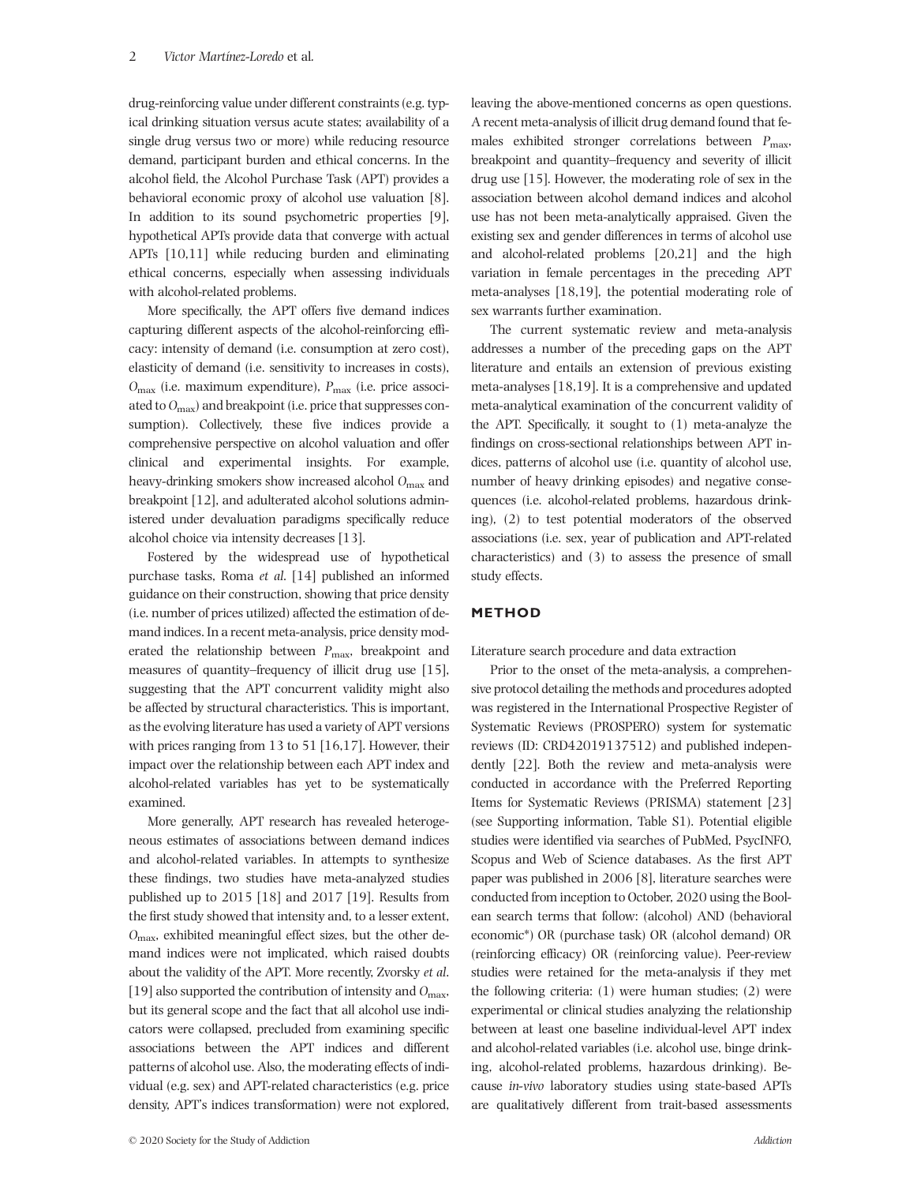drug-reinforcing value under different constraints (e.g. typical drinking situation versus acute states; availability of a single drug versus two or more) while reducing resource demand, participant burden and ethical concerns. In the alcohol field, the Alcohol Purchase Task (APT) provides a behavioral economic proxy of alcohol use valuation [8]. In addition to its sound psychometric properties [9], hypothetical APTs provide data that converge with actual APTs [10,11] while reducing burden and eliminating ethical concerns, especially when assessing individuals with alcohol-related problems.

More specifically, the APT offers five demand indices capturing different aspects of the alcohol-reinforcing efficacy: intensity of demand (i.e. consumption at zero cost), elasticity of demand (i.e. sensitivity to increases in costs), *O*<sub>max</sub> (i.e. maximum expenditure), *P*<sub>max</sub> (i.e. price associated to *O*max) and breakpoint (i.e. price that suppresses consumption). Collectively, these five indices provide a comprehensive perspective on alcohol valuation and offer clinical and experimental insights. For example, heavy-drinking smokers show increased alcohol O<sub>max</sub> and breakpoint [12], and adulterated alcohol solutions administered under devaluation paradigms specifically reduce alcohol choice via intensity decreases [13].

Fostered by the widespread use of hypothetical purchase tasks, Roma *et al*. [14] published an informed guidance on their construction, showing that price density (i.e. number of prices utilized) affected the estimation of demand indices. In a recent meta-analysis, price density moderated the relationship between *P*max, breakpoint and measures of quantity–frequency of illicit drug use [15], suggesting that the APT concurrent validity might also be affected by structural characteristics. This is important, as the evolving literature has used a variety of APT versions with prices ranging from 13 to 51 [16,17]. However, their impact over the relationship between each APT index and alcohol-related variables has yet to be systematically examined.

More generally, APT research has revealed heterogeneous estimates of associations between demand indices and alcohol-related variables. In attempts to synthesize these findings, two studies have meta-analyzed studies published up to 2015 [18] and 2017 [19]. Results from the first study showed that intensity and, to a lesser extent, *O*max, exhibited meaningful effect sizes, but the other demand indices were not implicated, which raised doubts about the validity of the APT. More recently, Zvorsky *et al*. [19] also supported the contribution of intensity and *O*max, but its general scope and the fact that all alcohol use indicators were collapsed, precluded from examining specific associations between the APT indices and different patterns of alcohol use. Also, the moderating effects of individual (e.g. sex) and APT-related characteristics (e.g. price density, APT's indices transformation) were not explored,

leaving the above-mentioned concerns as open questions. A recent meta-analysis of illicit drug demand found that females exhibited stronger correlations between *P*max, breakpoint and quantity–frequency and severity of illicit drug use [15]. However, the moderating role of sex in the association between alcohol demand indices and alcohol use has not been meta-analytically appraised. Given the existing sex and gender differences in terms of alcohol use and alcohol-related problems [20,21] and the high variation in female percentages in the preceding APT meta-analyses [18,19], the potential moderating role of sex warrants further examination.

The current systematic review and meta-analysis addresses a number of the preceding gaps on the APT literature and entails an extension of previous existing meta-analyses [18,19]. It is a comprehensive and updated meta-analytical examination of the concurrent validity of the APT. Specifically, it sought to (1) meta-analyze the findings on cross-sectional relationships between APT indices, patterns of alcohol use (i.e. quantity of alcohol use, number of heavy drinking episodes) and negative consequences (i.e. alcohol-related problems, hazardous drinking), (2) to test potential moderators of the observed associations (i.e. sex, year of publication and APT-related characteristics) and (3) to assess the presence of small study effects.

# **METHOD**

Literature search procedure and data extraction

Prior to the onset of the meta-analysis, a comprehensive protocol detailing the methods and procedures adopted was registered in the International Prospective Register of Systematic Reviews (PROSPERO) system for systematic reviews (ID: CRD42019137512) and published independently [22]. Both the review and meta-analysis were conducted in accordance with the Preferred Reporting Items for Systematic Reviews (PRISMA) statement [23] (see Supporting information, Table S1). Potential eligible studies were identified via searches of PubMed, PsycINFO, Scopus and Web of Science databases. As the first APT paper was published in 2006 [8], literature searches were conducted from inception to October, 2020 using the Boolean search terms that follow: (alcohol) AND (behavioral economic\*) OR (purchase task) OR (alcohol demand) OR (reinforcing efficacy) OR (reinforcing value). Peer-review studies were retained for the meta-analysis if they met the following criteria: (1) were human studies; (2) were experimental or clinical studies analyzing the relationship between at least one baseline individual-level APT index and alcohol-related variables (i.e. alcohol use, binge drinking, alcohol-related problems, hazardous drinking). Because *in-vivo* laboratory studies using state-based APTs are qualitatively different from trait-based assessments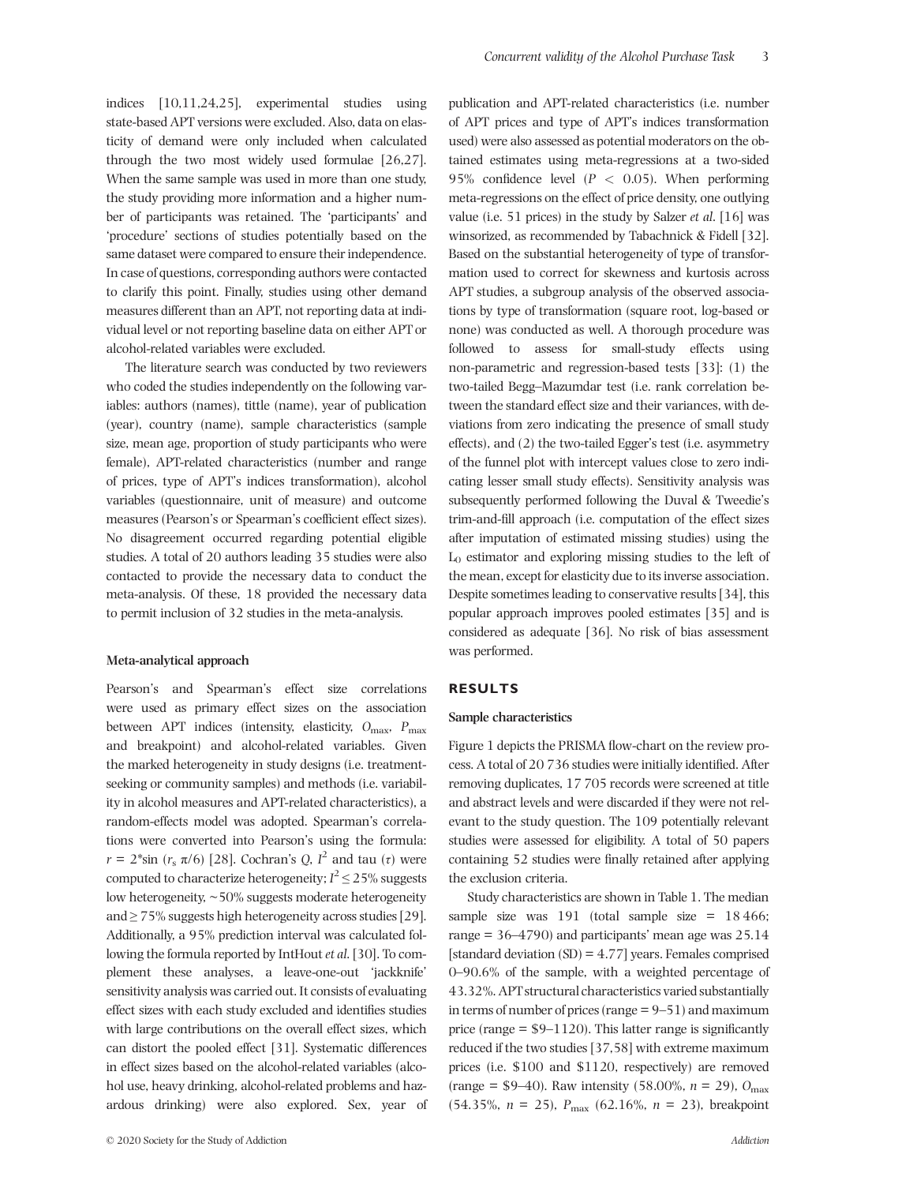indices [10,11,24,25], experimental studies using state-based APT versions were excluded. Also, data on elasticity of demand were only included when calculated through the two most widely used formulae [26,27]. When the same sample was used in more than one study, the study providing more information and a higher number of participants was retained. The 'participants' and 'procedure' sections of studies potentially based on the same dataset were compared to ensure their independence. In case of questions, corresponding authors were contacted to clarify this point. Finally, studies using other demand measures different than an APT, not reporting data at individual level or not reporting baseline data on either APT or alcohol-related variables were excluded.

The literature search was conducted by two reviewers who coded the studies independently on the following variables: authors (names), tittle (name), year of publication (year), country (name), sample characteristics (sample size, mean age, proportion of study participants who were female), APT-related characteristics (number and range of prices, type of APT's indices transformation), alcohol variables (questionnaire, unit of measure) and outcome measures (Pearson's or Spearman's coefficient effect sizes). No disagreement occurred regarding potential eligible studies. A total of 20 authors leading 35 studies were also contacted to provide the necessary data to conduct the meta-analysis. Of these, 18 provided the necessary data to permit inclusion of 32 studies in the meta-analysis.

### **Meta-analytical approach**

Pearson's and Spearman's effect size correlations were used as primary effect sizes on the association between APT indices (intensity, elasticity,  $O_{\text{max}}$ ,  $P_{\text{max}}$ and breakpoint) and alcohol-related variables. Given the marked heterogeneity in study designs (i.e. treatmentseeking or community samples) and methods (i.e. variability in alcohol measures and APT-related characteristics), a random-effects model was adopted. Spearman's correlations were converted into Pearson's using the formula: *r* =  $2^*$ sin (*r<sub>s</sub>*  $\pi/6$ ) [28]. Cochran's *Q*, *I*<sup>2</sup> and tau (*τ*) were computed to characterize heterogeneity;  $I^2 \le 25\%$  suggests low heterogeneity, ~50% suggests moderate heterogeneity and  $\geq$  75% suggests high heterogeneity across studies [29]. Additionally, a 95% prediction interval was calculated following the formula reported by IntHout *et al*. [30]. To complement these analyses, a leave-one-out 'jackknife' sensitivity analysis was carried out. It consists of evaluating effect sizes with each study excluded and identifies studies with large contributions on the overall effect sizes, which can distort the pooled effect [31]. Systematic differences in effect sizes based on the alcohol-related variables (alcohol use, heavy drinking, alcohol-related problems and hazardous drinking) were also explored. Sex, year of

publication and APT-related characteristics (i.e. number of APT prices and type of APT's indices transformation used) were also assessed as potential moderators on the obtained estimates using meta-regressions at a two-sided 95% confidence level (*P <* 0.05). When performing meta-regressions on the effect of price density, one outlying value (i.e. 51 prices) in the study by Salzer *et al*. [16] was winsorized, as recommended by Tabachnick & Fidell [32]. Based on the substantial heterogeneity of type of transformation used to correct for skewness and kurtosis across APT studies, a subgroup analysis of the observed associations by type of transformation (square root, log-based or none) was conducted as well. A thorough procedure was followed to assess for small-study effects using non-parametric and regression-based tests [33]: (1) the two-tailed Begg–Mazumdar test (i.e. rank correlation between the standard effect size and their variances, with deviations from zero indicating the presence of small study effects), and (2) the two-tailed Egger's test (i.e. asymmetry of the funnel plot with intercept values close to zero indicating lesser small study effects). Sensitivity analysis was subsequently performed following the Duval & Tweedie's trim-and-fill approach (i.e. computation of the effect sizes after imputation of estimated missing studies) using the  $L_0$  estimator and exploring missing studies to the left of the mean, except for elasticity due to its inverse association. Despite sometimes leading to conservative results [34], this popular approach improves pooled estimates [35] and is considered as adequate [36]. No risk of bias assessment was performed.

### **RESULTS**

### **Sample characteristics**

Figure 1 depicts the PRISMA flow-chart on the review process. A total of 20 736 studies were initially identified. After removing duplicates, 17 705 records were screened at title and abstract levels and were discarded if they were not relevant to the study question. The 109 potentially relevant studies were assessed for eligibility. A total of 50 papers containing 52 studies were finally retained after applying the exclusion criteria.

Study characteristics are shown in Table 1. The median sample size was 191 (total sample size  $= 18466$ ; range  $= 36 - 4790$  and participants' mean age was  $25.14$ [standard deviation (SD) = 4.77] years. Females comprised 0–90.6% of the sample, with a weighted percentage of 43.32%. APT structural characteristics varied substantially in terms of number of prices (range  $= 9-51$ ) and maximum price (range  $= $9-1120$ ). This latter range is significantly reduced if the two studies [37,58] with extreme maximum prices (i.e. \$100 and \$1120, respectively) are removed (range = \$9–40). Raw intensity (58.00%, *n* = 29), *O*max  $(54.35\%, n = 25), P_{\text{max}} (62.16\%, n = 23)$ , breakpoint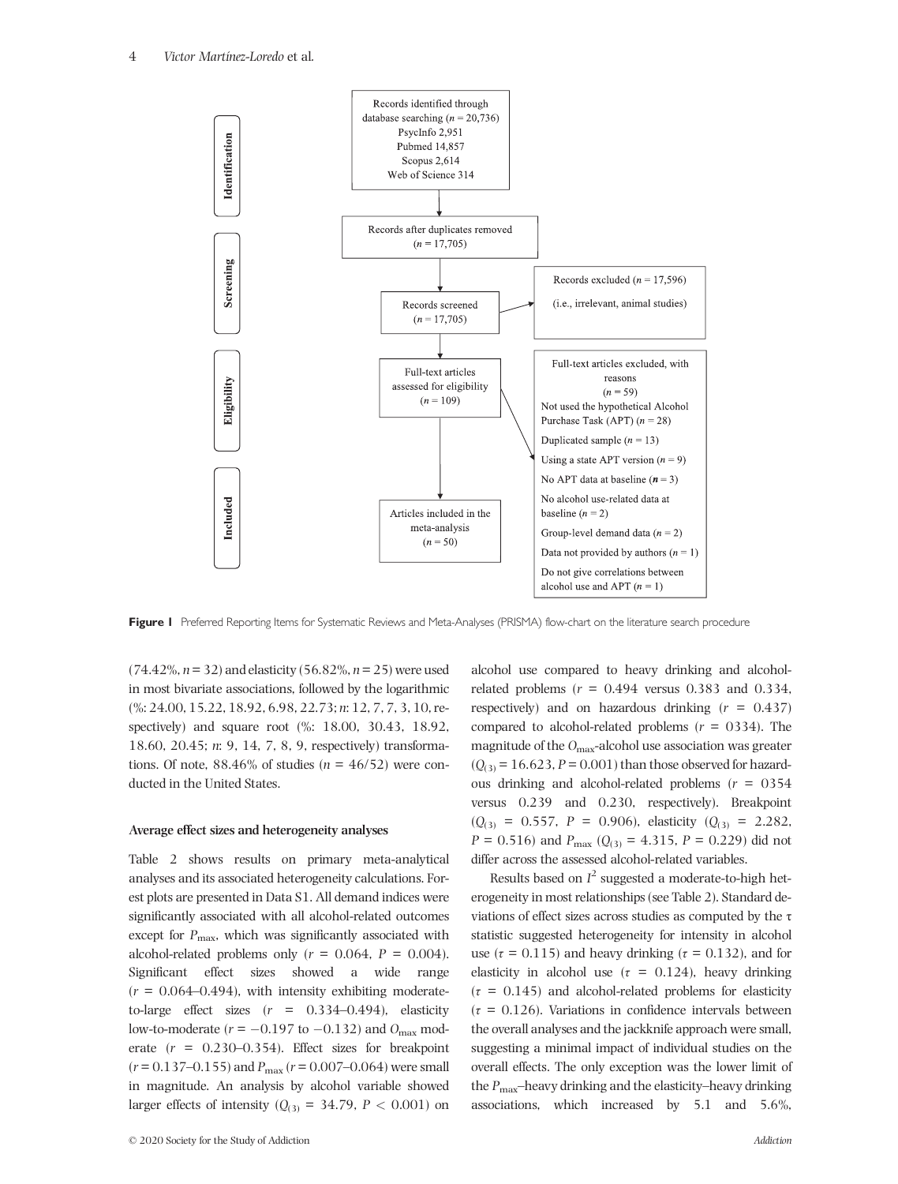

Figure I Preferred Reporting Items for Systematic Reviews and Meta-Analyses (PRISMA) flow-chart on the literature search procedure

(74.42%, *n*= 32) and elasticity (56.82%, *n*= 25) were used in most bivariate associations, followed by the logarithmic (%: 24.00, 15.22, 18.92, 6.98, 22.73; *n*: 12, 7, 7, 3, 10, respectively) and square root (%: 18.00, 30.43, 18.92, 18.60, 20.45; *n*: 9, 14, 7, 8, 9, respectively) transformations. Of note,  $88.46\%$  of studies ( $n = 46/52$ ) were conducted in the United States.

#### **Average effect sizes and heterogeneity analyses**

Table 2 shows results on primary meta-analytical analyses and its associated heterogeneity calculations. Forest plots are presented in Data S1. All demand indices were significantly associated with all alcohol-related outcomes except for  $P_{\text{max}}$ , which was significantly associated with alcohol-related problems only  $(r = 0.064, P = 0.004)$ . Significant effect sizes showed a wide range  $(r = 0.064 - 0.494)$ , with intensity exhibiting moderateto-large effect sizes  $(r = 0.334 - 0.494)$ , elasticity low-to-moderate  $(r = -0.197$  to  $-0.132$ ) and  $O_{\text{max}}$  moderate  $(r = 0.230 - 0.354)$ . Effect sizes for breakpoint  $(r = 0.137 - 0.155)$  and  $P_{\text{max}}(r = 0.007 - 0.064)$  were small in magnitude. An analysis by alcohol variable showed larger effects of intensity ( $Q<sub>(3)</sub> = 34.79$ ,  $P < 0.001$ ) on

alcohol use compared to heavy drinking and alcoholrelated problems  $(r = 0.494$  versus  $0.383$  and  $0.334$ , respectively) and on hazardous drinking (*r* = 0.437) compared to alcohol-related problems (*r* = 0334). The magnitude of the *O*max-alcohol use association was greater  $(Q<sub>(3)</sub> = 16.623, P = 0.001)$  than those observed for hazardous drinking and alcohol-related problems (*r* = 0354 versus 0.239 and 0.230, respectively). Breakpoint  $(Q_{(3)} = 0.557, P = 0.906)$ , elasticity  $(Q_{(3)} = 2.282)$ , *P* = 0.516) and *P*<sub>max</sub> ( $Q_{(3)}$  = 4.315, *P* = 0.229) did not differ across the assessed alcohol-related variables.

Results based on *I* <sup>2</sup> suggested a moderate-to-high heterogeneity in most relationships (see Table 2). Standard deviations of effect sizes across studies as computed by the  $\tau$ statistic suggested heterogeneity for intensity in alcohol use ( $\tau$  = 0.115) and heavy drinking ( $\tau$  = 0.132), and for elasticity in alcohol use  $(\tau = 0.124)$ , heavy drinking  $(\tau = 0.145)$  and alcohol-related problems for elasticity  $(\tau = 0.126)$ . Variations in confidence intervals between the overall analyses and the jackknife approach were small, suggesting a minimal impact of individual studies on the overall effects. The only exception was the lower limit of the *P*max–heavy drinking and the elasticity–heavy drinking associations, which increased by 5.1 and 5.6%,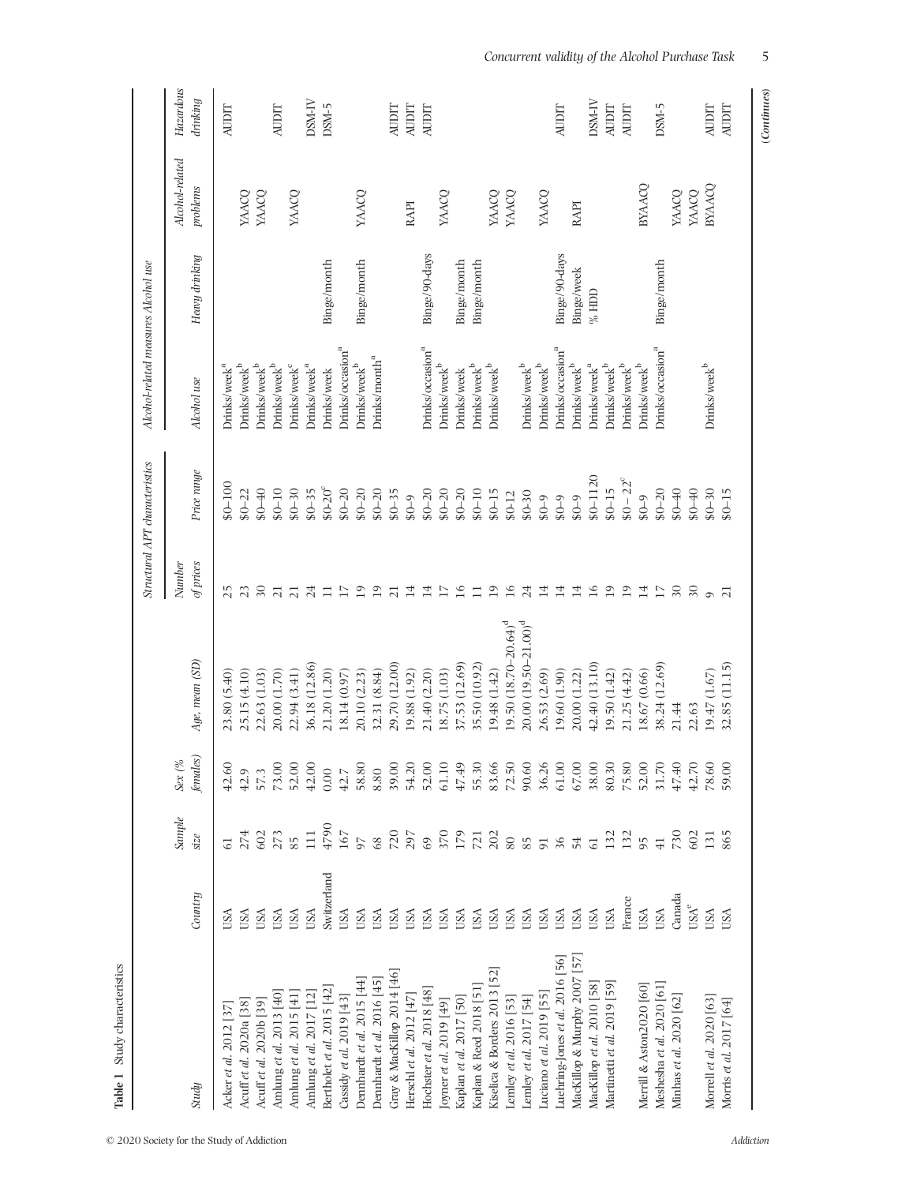| Study characteristics<br>Table 1                                           |                                    |                 |                                 |                          |                     |                                |                                              |                |                             |                       |
|----------------------------------------------------------------------------|------------------------------------|-----------------|---------------------------------|--------------------------|---------------------|--------------------------------|----------------------------------------------|----------------|-----------------------------|-----------------------|
|                                                                            |                                    |                 |                                 |                          |                     | Structural APT characteristics | Alcohol-related measures Alcohol use         |                |                             |                       |
| Study                                                                      | Country                            | Sample<br>size  | females)<br>Sex $\mathcal{O}_o$ | Age, mean (SD)           | Number<br>of prices | Price range                    | Alcohol use                                  | Heavy drinking | Alcohol-related<br>problems | Hazardous<br>drinking |
| Acker et al. 2012 [37                                                      | USA                                |                 | 42.60                           | 23.80 (5.40)             | 25                  | $60 - 100$                     | Drinks/week <sup>a</sup>                     |                |                             | AUDIT                 |
| Acuff et al. 2020a [38]                                                    | USA                                | 274             | 42.9                            | 25.15 (4.10)             | 23                  | $$0 - 22$                      | Drinks/week <sup>b</sup>                     |                | YAACQ                       |                       |
| Acuff et al. 2020b [39]                                                    | USA                                | 602             | 57.3                            | 22.63 (1.03)             | $\overline{30}$     | $0 + 03$                       | $Drinks / week^b$                            |                | YAACQ                       |                       |
| Amlung et al. 2013 [40]                                                    | USA                                | 273             | 73.00                           | 20.00 (1.70)             | $\overline{z}$      | $$0 - 10$                      | $Drinks / week^b$                            |                |                             | <b>AUDIT</b>          |
| Amlung et al. 2015 $\left[\begin{smallmatrix} 41 \end{smallmatrix}\right]$ | USA                                | 85              | 52.00                           | 22.94 (3.41)             | $\overline{21}$     | $$0-30$                        | Drinks/week <sup>c</sup>                     |                | YAACQ                       |                       |
| Amlung et al. 2017 $[12]$                                                  | USA                                | $\overline{11}$ | 42.00                           | 36.18 (12.86)            | 24                  | $$0 - 35$                      | Drinks/week <sup>a</sup>                     |                |                             | DSM-IV                |
| Bertholet et al. 2015 [42]                                                 | Switzerland                        | 4790            | 0.00                            | 21.20 (1.20)             | Ξ                   | $$0 - 20^{\circ}$              | Irinks/week                                  | Binge/month    |                             | DSM-5                 |
| Cassidy et al. 2019 [43]                                                   | USA                                | 167             | 42.7                            | 18.14 (0.97)             | $\overline{17}$     | $$0 - 20$                      | Drinks/occasion <sup>a</sup>                 |                |                             |                       |
| Dennhardt et al. 2015 [44]                                                 | USA                                | 97              | 58.80                           | 20.10 (2.23)             | 19                  | $$0 - 20$                      | Drinks/week <sup>b</sup>                     | Binge/month    | YAACO                       |                       |
| Dennhardt et al. 2016 [45]                                                 | USA                                | 68              | 8.80                            | 32.31 (8.84)             | 19                  | $$0 - 20$                      | Drinks/month <sup>a</sup>                    |                |                             |                       |
| Gray & MacKillop 2014 [46]                                                 | USA                                | 720             | 39.00                           | 29.70 (12.00)            | $\overline{21}$     | $$0 - 35$                      |                                              |                |                             | AUDIT                 |
| Herschl et al. $2012$ [47]                                                 | USA                                | 297             | 54.20                           | 19.88 (1.92)             | 14                  | $6 - 0.8$                      |                                              |                | RAPI                        | <b>AUDIT</b>          |
| Hochster et al. 2018 [48]                                                  | USA                                | 69              | 52.00                           | 21.40 (2.20)             | 14                  | $$0 - 20$                      | Drinks/occasion <sup>a</sup>                 | Binge/90-days  |                             | <b>AUDIT</b>          |
| [oyner et al. 2019 [49]                                                    | USA                                | 370             | 61.10                           | 18.75 (1.03)             | 17                  | $$0 - 20$                      | Drinks/week <sup>b</sup>                     |                | YAACQ                       |                       |
| Kaplan et al. 2017 [50]                                                    | USA                                | 179             | 47.49                           | 37.53 (12.69)            | 16                  | $$0 - 20$                      | Drinks/week                                  | Binge/month    |                             |                       |
| Kaplan & Reed 2018 [51]                                                    | USA                                | 721             | 55.30                           | 35.50 (10.92)            | $\Box$              | $$0 - 10$                      | $\mathrm{Drinks}/\mathrm{week}^{\mathrm{b}}$ | Binge/month    |                             |                       |
| [52]<br>Kiselica & Borders 2013                                            | USA                                | 202             | 83.66                           | 19.48 (1.42)             | $\overline{19}$     | $$0 - 15$                      | $\mathrm{Drinks}/\mathrm{week}^{\mathrm{b}}$ |                | YAACQ                       |                       |
| Lemley et al. 2016 [53]                                                    | USA                                | $80\,$          | 72.50                           | $19.50(18.70-20.64)^d$   | 16                  | $$0-12$                        |                                              |                | YAACQ                       |                       |
| Lemley et al. 2017 [54]                                                    | USA                                | 85              | 90.60                           | $20.00(19.50 - 21.00)^d$ | 24                  | $$0-30$                        | Drinks/week <sup>b</sup>                     |                |                             |                       |
| Luciano et al. 2019 [55]                                                   | USA                                |                 | 36.26                           | 26.53 (2.69)             | 14                  | $$0 - 9$                       | Drinks/week <sup>b</sup>                     |                | YAACQ                       |                       |
| Luehring-Jones et al. 2016 [56]                                            | USA                                | 5 36 54         | 61.00                           | 19.60 (1.90)             | 14                  | $6 - 08$                       | Irinks/occasion <sup>a</sup>                 | Binge/90-days  |                             | <b>AUDIT</b>          |
| MacKillop & Murphy 2007 [57]                                               | USA                                |                 | 67.00                           | 20.00 (1.22)             | 14                  | $6 - 0.8$                      | Drinks/week <sup>b</sup>                     | Binge/week     | RAPI                        |                       |
| MacKillop et al. 2010 [58]                                                 | USA                                | 61              | 38.00                           | 42.40 (13.10)            | 16                  | $$0 - 1120$                    | Drinks/week <sup>a</sup>                     | $\%$ HDD       |                             | DSM-IV                |
| Martinetti et al. 2019 [59]                                                | USA                                | 132             | 80.30                           | 19.50 (1.42)             | 19                  | $$0 - 15$                      | $Drinks / week^b$                            |                |                             | <b>AUDIT</b>          |
|                                                                            | France                             | 132             | 75.80                           | 21.25(4.42)              | 19                  | $$0 - 22^{\circ}$              | $Drinks / week^b$                            |                |                             | <b>AUDIT</b>          |
| Merrill & Aston2020 [60]                                                   | USA                                | 95              | 52.00                           | 18.67 (0.66)             | 14                  | $6 - 0.8$                      | $\mathrm{Drinks}/\mathrm{week}^{\mathrm{b}}$ |                | BYAACQ                      |                       |
| Meshesha et al. 2020 [61]                                                  | <b>USA</b>                         | $\overline{41}$ | 31.70                           | 38.24 (12.69)            | 17                  | $$0 - 20$                      | Drinks/occasion <sup>a</sup>                 | Binge/month    |                             | DSM-5                 |
| Minhas et al. 2020 [62]                                                    | Canada                             | 730             | 47.40                           | 21.44                    | 30                  | $0 + 08$                       |                                              |                | YAACQ                       |                       |
|                                                                            | $\ensuremath{\text{USA}}^\text{e}$ | 602             | 42.70                           | 22.63                    | $30\,$              | $0 + 08$                       |                                              |                | YAACQ                       |                       |
| Morrell et al. 2020 [63]                                                   | <b>USA</b>                         | 131             | 78.60                           | 19.47 (1.67)             | $\sigma$            | $$0-30$                        | $Drinks / week^b$                            |                | BYAACQ                      | $\Lambda\text{UDIT}$  |
| Morris et al. 2017 [64]                                                    | <b>USA</b>                         | 865             | 59.00                           | 32.85 (11.15)            | $\overline{\Omega}$ | $$0 - 15$                      |                                              |                |                             | <b>AUDIT</b>          |
|                                                                            |                                    |                 |                                 |                          |                     |                                |                                              |                |                             |                       |

 $(Continuous) % \begin{minipage}[b]{0.5\linewidth} \centering \includegraphics[width=0.8\linewidth]{images/STW100020.jpg} \caption{The first two cases of the T-WD data. The first two cases are shown in \cite{S2019} for each case, the second two cases are shown in \cite{S2019}. The second two cases are shown in \cite{S2019} for each case, the second two cases are shown in \cite{S2019} for each case, the second two cases are shown in \cite{S2019} for each case, the second two cases are shown in \cite{S2019} for each case, the second two cases are shown in \cite{S2019} for each case, the second two cases are shown in \cite{S2019} for each case, the second two cases$ (*Continues*)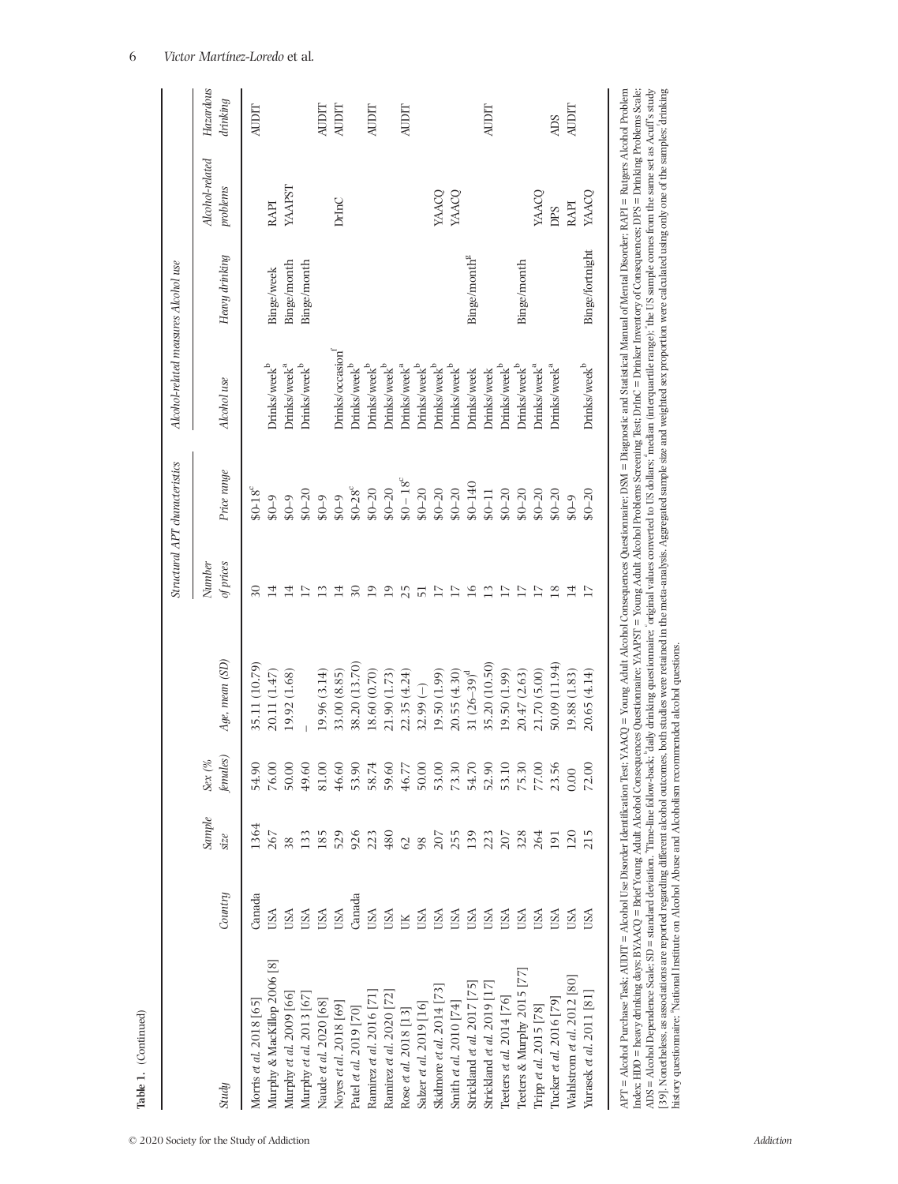|                                                                                                                                                                                                                                                                                                                                                                                                                                                                  |              |                |                                 |                |                     | Structural APT characteristics | Alcohol-related measures Alcohol use |                          |                             |                       |
|------------------------------------------------------------------------------------------------------------------------------------------------------------------------------------------------------------------------------------------------------------------------------------------------------------------------------------------------------------------------------------------------------------------------------------------------------------------|--------------|----------------|---------------------------------|----------------|---------------------|--------------------------------|--------------------------------------|--------------------------|-----------------------------|-----------------------|
| Study                                                                                                                                                                                                                                                                                                                                                                                                                                                            | Country      | Sample<br>size | females)<br>Sex $\mathcal{O}_0$ | Age, mean (SD) | Number<br>of prices | Price range                    | Alcohol use                          | Heavy drinking           | Alcohol-related<br>problems | Hazardous<br>drinking |
| Morris et al. 2018 [65]                                                                                                                                                                                                                                                                                                                                                                                                                                          | Canada       | 1364           | 54.90                           | 35.11 (10.79)  | $\overline{30}$     | $$0-18^c$                      |                                      |                          |                             | AUDIT                 |
| Murphy & MacKillop 2006 [8]                                                                                                                                                                                                                                                                                                                                                                                                                                      | <b>ISA</b>   | 267            | 76.00                           | 20.11 (1.47)   | $\overline{14}$     | $6 - 0.8$                      | Drinks/week <sup>b</sup>             | Binge/week               | <b>RAPI</b>                 |                       |
| Murphy et al. 2009 [66]                                                                                                                                                                                                                                                                                                                                                                                                                                          | <b>USL</b>   | 38             | 50.00                           | 19.92 (1.68)   | 4                   | $6 - 08$                       | Drinks/week <sup>a</sup>             | Binge/month              | YAAPST                      |                       |
| Murphy et al. 2013 [67]                                                                                                                                                                                                                                                                                                                                                                                                                                          | <b>USA</b>   | 133            | 49.60                           |                | $\overline{17}$     | $$0 - 20$                      | Drinks/week <sup>b</sup>             | Binge/month              |                             |                       |
| Naude et al. 2020 [68]                                                                                                                                                                                                                                                                                                                                                                                                                                           | <b>USA</b>   | 185            | 81.00                           | 19.96 (3.14)   | $\overline{13}$     | $6 - 03$                       |                                      |                          |                             | AUDIT                 |
| Noyes et al. 2018 [69]                                                                                                                                                                                                                                                                                                                                                                                                                                           | USA          | 529            | 46.60                           | 33.00 (8.85)   | $\overline{14}$     | $6 - 0.8$                      | Orinks/occasion                      |                          | DrinC                       | AUDIT                 |
| Patel et al. 2019 [70]                                                                                                                                                                                                                                                                                                                                                                                                                                           | Canada       | 926            | 53.90                           | 38.20 (13.70)  | 20                  | $$0-28^c$                      | Drinks/week <sup>b</sup>             |                          |                             |                       |
| Ramirez et al. 2016 [71                                                                                                                                                                                                                                                                                                                                                                                                                                          | USA          | 223            | 58.74                           | 18.60 (0.70)   | $\overline{19}$     | $$0 - 20$                      | Drinks/week <sup>b</sup>             |                          |                             | AUDIT                 |
| Ramirez et al. 2020 [72]                                                                                                                                                                                                                                                                                                                                                                                                                                         | USA          | 480            | 59.60                           | 21.90 (1.73)   | 19                  | $$0 - 20$                      | Drinks/week <sup>b</sup>             |                          |                             |                       |
| Rose et al. 2018 [13]                                                                                                                                                                                                                                                                                                                                                                                                                                            | $\mathbb{R}$ | 62             | 46.77                           | 22.35(4.24)    | 25                  | $$0-18^c$                      | Drinks/week <sup>a</sup>             |                          |                             | AUDIT                 |
| Salzer et al. 2019 [16]                                                                                                                                                                                                                                                                                                                                                                                                                                          | <b>SA</b>    | 98             | 50.00                           | $32.99(-)$     | $\overline{5}$      | $$0 - 20$                      | Drinks/week <sup>b</sup>             |                          |                             |                       |
| Skidmore et al. 2014 [73]                                                                                                                                                                                                                                                                                                                                                                                                                                        | USA          | 207            | 53.00                           | 19.50 (1.99)   | $\overline{17}$     | $$0 - 20$                      | Drinks/week <sup>b</sup>             |                          | YAACQ                       |                       |
| Smith et al. 2010 [74]                                                                                                                                                                                                                                                                                                                                                                                                                                           | USA          | 255            | 73.30                           | 20.55(4.30)    | 17                  | $$0 - 20$                      | Drinks/week <sup>b</sup>             |                          | YAACQ                       |                       |
| Strickland et al. 2017 [75]                                                                                                                                                                                                                                                                                                                                                                                                                                      | JSA          | 139            | 54.70                           | 31 $(26-39)^d$ | 16                  | \$0-140                        | <b>Drinks/week</b>                   | Binge/month <sup>g</sup> |                             |                       |
| Strickland et al. 2019 [17]                                                                                                                                                                                                                                                                                                                                                                                                                                      | USA          | 223            | 52.90                           | 35.20 (10.50)  | $\overline{13}$     | $$0 - 11$                      | Drinks/week                          |                          |                             | AUDIT                 |
| Teeters et al. $2014$ [76]                                                                                                                                                                                                                                                                                                                                                                                                                                       | USA          | 207            | 53.10                           | 19.50 (1.99)   | $\overline{17}$     | $$0 - 20$                      | Drinks/week <sup>b</sup>             |                          |                             |                       |
| Teeters & Murphy 2015                                                                                                                                                                                                                                                                                                                                                                                                                                            | USA          | 328            | 75.30                           | 20.47 (2.63)   | $17\,$              | $$0 - 20$                      | Drinks/week <sup>b</sup>             | Binge/month              |                             |                       |
| Tripp et al. 2015 [78]                                                                                                                                                                                                                                                                                                                                                                                                                                           | USA          | 264            | 77.00                           | 21.70 (5.00)   | 17                  | $$0 - 20$                      | Drinks/week <sup>a</sup>             |                          | <b>YAACQ</b>                |                       |
| Tucker et al. 2016 [79]                                                                                                                                                                                                                                                                                                                                                                                                                                          | USA          | 191            | 23.56                           | 50.09 (11.94)  | 18                  | $$0 - 20$                      | Drinks/week <sup>a</sup>             |                          | DPS                         | <b>ADS</b>            |
| Wahlstrom et al. 2012 [80]                                                                                                                                                                                                                                                                                                                                                                                                                                       | USA          | 120            | 0.00                            | 19.88 (1.83)   | 14                  | $6 - 0.8$                      |                                      |                          | <b>RAPI</b>                 | AUDIT                 |
| Yurasek et al. 2011 [81]                                                                                                                                                                                                                                                                                                                                                                                                                                         | JSA          | 215            | 72.00                           | 20.65 (4.14)   | $\overline{17}$     | $$0 - 20$                      | Drinks/week <sup>b</sup>             | Binge/fortnight          | YAACQ                       |                       |
| APT = Alcohol Purchase Task; AIDIT = Alcohol Use Disorder Identification Test; YAACQ = Young Adult Alcohol Consequences Questionnaire; DSM = Diagnostic and Statistical Manual of Mental Disorder; RAPI = Rutgers Alcohol Prob                                                                                                                                                                                                                                   |              |                |                                 |                |                     |                                |                                      |                          |                             |                       |
| ADS = Alcohol Dependence Scale; SD = standard deviation. "Time-line follow-back; 'daily drinking questionnaire; 'original values converted to US dollars; 'median (interquartile range); 'the US sample comes from the same se<br>Index: HDD = heavy drinking days; BYAACQ = Brief Young Adult Alcohol Consequences Questionnaire; YAAFST = Young Adult Alcohol Problems Screening Test; DrinC = Drinker Invertory of Consequences; DPS = Drinking Problems Scal |              |                |                                 |                |                     |                                |                                      |                          |                             |                       |
| [39]. Nonetheless, as associations are reported regarding different alcobol outcomes, both studies were retained in the meta-analysis. Aggregated sample size and weighted sex proportion were calculated using only one of th<br>history questionnaire; "National Institute on Alcohol Abuse and Alcoholism recommended alcohol questions.                                                                                                                      |              |                |                                 |                |                     |                                |                                      |                          |                             |                       |
|                                                                                                                                                                                                                                                                                                                                                                                                                                                                  |              |                |                                 |                |                     |                                |                                      |                          |                             |                       |

## 6 *Victor Martínez-Loredo* et al *.*

**Table 1.** (Continued)

Table 1. (Continued)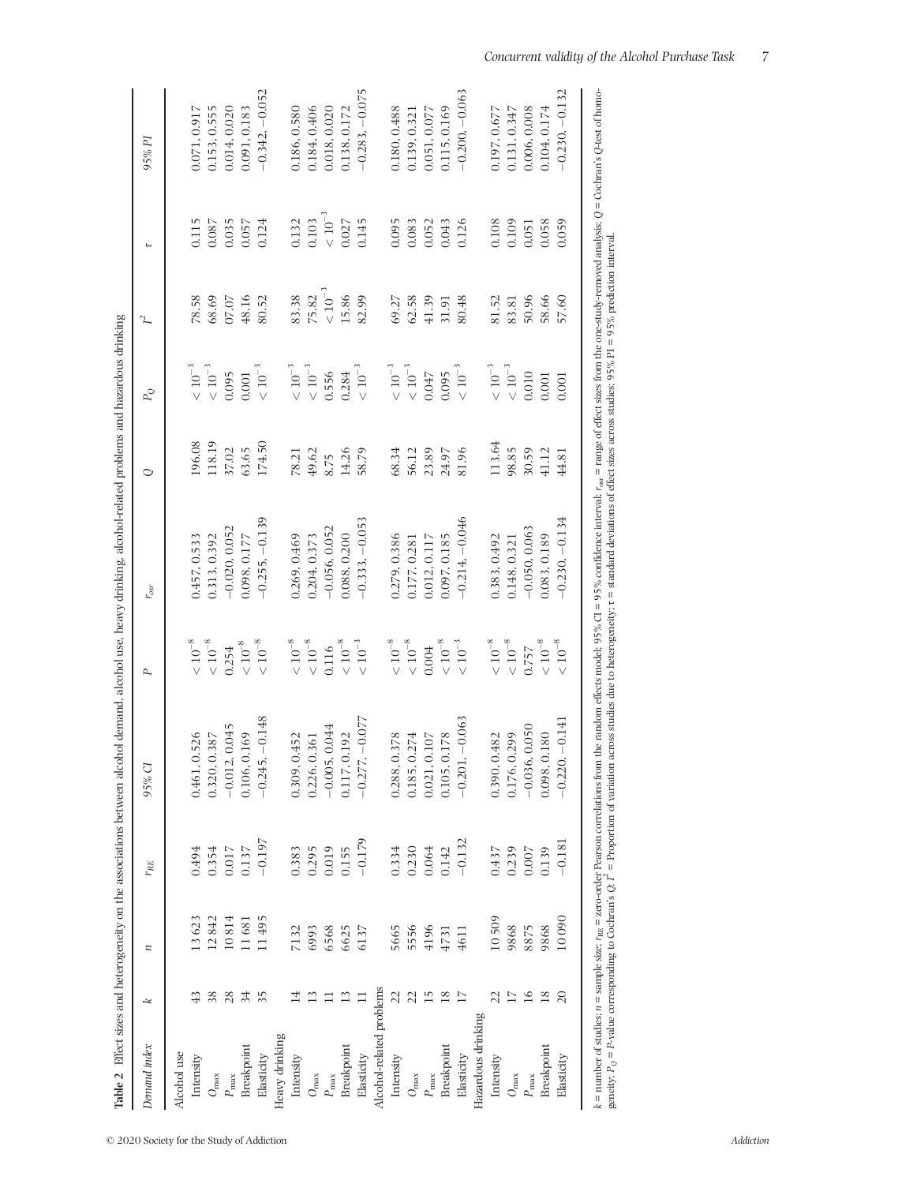**Table 2** Effect sizes and heterogeneity on the associations between alcohol demand, alcohol use, heavy drinking, alcohol-related problems and hazardous drinking dvinkir Á É ΔÁ, Á Ā ÷  $\overline{a}$ È سنداستندا Á Ŕ È Ė h, مة لمطمئ l, ś Ę Ŕ  $\pm$ 등 J,  $T^{\alpha}$  $\ddot{\phantom{a}}$ 

|                          |                           |       |          |                         |              | Table 2 Effect sizes and heterogeneity on the associations between alcohol demand, alcohol use, heavy drinking, alcohol-related problems and hazardous drinking |        |              |                |                |                  |
|--------------------------|---------------------------|-------|----------|-------------------------|--------------|-----------------------------------------------------------------------------------------------------------------------------------------------------------------|--------|--------------|----------------|----------------|------------------|
| Demand index             | $\overline{\vphantom{1}}$ | n     | $r_{RE}$ | 95% CI                  | P            | $r_{osr}$                                                                                                                                                       | Ō      | $P_{\cal Q}$ | $\tilde{I}$    | τ              | 95% PI           |
| Alcohol use              |                           |       |          |                         |              |                                                                                                                                                                 |        |              |                |                |                  |
| Intensity                |                           | 13623 | 0.494    | 0.526<br>0.461.         | $<10^{-8}\,$ | 0.457, 0.533                                                                                                                                                    | 196.08 | $<10^{-3}$   | 78.58          | 0.115          | 0.071, 0.917     |
| $O_{\max}$               | 38                        | 12842 | 0.354    | 0.387<br>0.320,         | $<10^{-8}\,$ | 0.313, 0.392                                                                                                                                                    | 118.19 | $<10^{-3}$   | 68.69          | 0.087          | 0.153, 0.555     |
| $P_{\rm max}$            | 28                        | 10814 | 0.017    | $-0.012, 0.045$         | 0.254        | $-0.020, 0.052$                                                                                                                                                 | 37.02  | 0.095        | 07.07          | 0.035          | 0.014, 0.020     |
| Breakpoint               | 34                        | 11681 | 0.137    | 0.169<br>0.106,         | $<10^{-8}$   | 0.098, 0.177                                                                                                                                                    | 63.65  | 0.001        | 48.16          | 0.057          | 0.091, 0.183     |
| Elasticity               | 35                        | 11495 | $-0.197$ | $-5, -0.148$<br>$-0.24$ | $<10^{-8}\,$ | $-0.255, -0.139$                                                                                                                                                | 174.50 | $<10^{-3}\,$ | 80.52          | 0.124          | $-0.342, -0.052$ |
| Heavy drinking           |                           |       |          |                         |              |                                                                                                                                                                 |        |              |                |                |                  |
| Intensity                |                           | 7132  | 0.383    | .0.452<br>0.309,        | $<10^{-8}\,$ | 0.269, 0.469                                                                                                                                                    | 78.21  | $<10^{-3}$   | 83.38          | 0.132          | 0.186, 0.580     |
| $O_{\rm max}$            |                           | 6993  | 0.295    | .0.361<br>0.226,        | $<10^{-8}\,$ | 0.204, 0.373                                                                                                                                                    | 49.62  | $<10^{-3}$   | 75.82          | 0.103          | 0.184, 0.406     |
| $P_{\rm max}$            |                           | 6568  | 0.019    | 0.044<br>$-0.00$        | 0.116        | $-0.056, 0.052$                                                                                                                                                 | 8.75   | 0.556        | $\leq 10^{-3}$ | $\leq 10^{-3}$ | 0.018, 0.020     |
| Breakpoint               |                           | 6625  | 0.155    | 0.117, 0.192            | $<10^{-8}\,$ | 0.088, 0.200                                                                                                                                                    | 14.26  | 0.284        | 15.86          | 0.027          | 0.138, 0.172     |
| Elasticity               |                           | 6137  | $-0.179$ | $-0.277, -0.077$        | $<10^{-3}$   | $-0.333, -0.053$                                                                                                                                                | 58.79  | $<10^{-3}$   | 82.99          | 0.145          | $-0.283, -0.075$ |
| Alcohol-related problems |                           |       |          |                         |              |                                                                                                                                                                 |        |              |                |                |                  |
| Intensity                | 22                        | 5665  | 0.334    | 0.378<br>0.288,         | $<10^{-8}\,$ | 0.279, 0.386                                                                                                                                                    | 68.34  | $<10^{-3}\,$ | 69.27          | 0.095          | 0.180, 0.488     |
| $O_{\rm max}$            | 22                        | 5556  | 0.230    | 0.274<br>0.185,         | $<10^{-8}\,$ | 0.177, 0.281                                                                                                                                                    | 56.12  | $<10^{-3}$   | 62.58          | 0.083          | 0.139, 0.321     |
| $P_{\rm max}$            | 15                        | 4196  | 0.064    | $0.107\,$<br>0.021      | 0.004        | 0.012, 0.117                                                                                                                                                    | 23.89  | 0.047        | 41.39          | 0.052          | 0.051, 0.077     |
| Breakpoint               | $^{18}$                   | 4731  | 0.142    | 0.105, 0.178            | $<10^{-8}\,$ | 0.097, 0.185                                                                                                                                                    | 24.97  | 0.095        | 31.91          | 0.043          | 0.115, 0.169     |
| Elasticity               | 17                        | 4611  | $-0.132$ | $1, -0.063$<br>$-0.20$  | $<10^{-3}$   | $-0.214, -0.046$                                                                                                                                                | 81.96  | $<10^{-3}$   | 80.48          | 0.126          | $-0.200, -0.063$ |
| Hazardous drinking       |                           |       |          |                         |              |                                                                                                                                                                 |        |              |                |                |                  |
| Intensity                | 22                        | 10509 | 0.437    | , 0.482<br>0.390,       | $<10^{-8}$   | 0.383, 0.492                                                                                                                                                    | 113.64 | $<10^{-3}\,$ | 81.52          | 0.108          | 0.197, 0.677     |
| $O_{\rm max}$            | $\sum$                    | 9868  | 0.239    | 0.299<br>0.176,         | $<10^{-8}\,$ | 0.148, 0.321                                                                                                                                                    | 98.85  | $<10^{-3}$   | 83.81          | 0.109          | 0.131, 0.347     |
| $P_{\rm max}$            | $\overline{16}$           | 8875  | 0.007    | $-0.036, 0.050$         | 0.757        | $-0.050, 0.063$                                                                                                                                                 | 30.59  | 0.010        | 50.96          | 0.051          | 0.006, 0.008     |
| Breakpoint               | 18                        | 9868  | 0.139    | 0.098, 0.180            | $<10^{-8}\,$ | 0.083, 0.189                                                                                                                                                    | 41.12  | 0.001        | 58.66          | 0.058          | 0.104.0.174      |
| Elasticity               | 20                        | 10090 | $-0.181$ | $-0.220, -0.141$        | $<10^{-8}$   | $-0.230, -0.134$                                                                                                                                                | 44.81  | 0.001        | 57.60          | 0.059          | $-0.230, -0.132$ |
|                          |                           |       |          |                         |              |                                                                                                                                                                 |        |              |                |                |                  |

*k*

geneity; *PQ* = *P-*value corresponding to Cochran's *Q*; *I*

 $\sim$ 

k = number of studies n = sample size: r<sub>RE</sub> = zero-order Pearson correlations from the random effects model: 95% confidence interval: r<sub>es</sub> = range of effect sizes from the one-study-removed analysis; Q = Cochran's Q-test

 $=$  Proportion of variation across studies due to heterogeneity;  $\tau =$  standard deviations of effect sizes across studies; 95% PI = 95% prediction interval.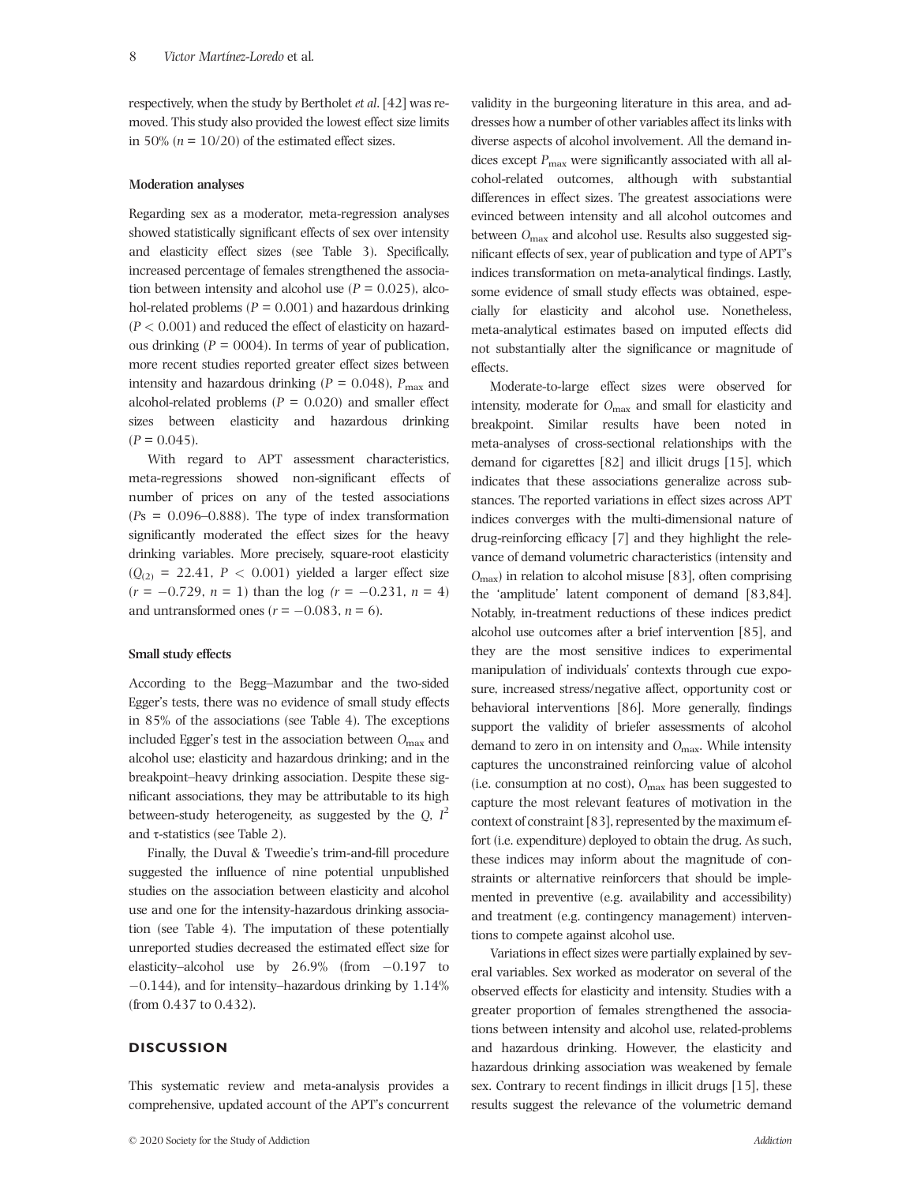respectively, when the study by Bertholet *et al*. [42] was removed. This study also provided the lowest effect size limits in 50% ( $n = 10/20$ ) of the estimated effect sizes.

## **Moderation analyses**

Regarding sex as a moderator, meta-regression analyses showed statistically significant effects of sex over intensity and elasticity effect sizes (see Table 3). Specifically, increased percentage of females strengthened the association between intensity and alcohol use  $(P = 0.025)$ , alcohol-related problems  $(P = 0.001)$  and hazardous drinking  $(P < 0.001)$  and reduced the effect of elasticity on hazardous drinking  $(P = 0004)$ . In terms of year of publication, more recent studies reported greater effect sizes between intensity and hazardous drinking ( $P = 0.048$ ),  $P_{\text{max}}$  and alcohol-related problems (*P* = 0.020) and smaller effect sizes between elasticity and hazardous drinking  $(P = 0.045)$ .

With regard to APT assessment characteristics, meta-regressions showed non-significant effects of number of prices on any of the tested associations (*P*s = 0.096–0.888). The type of index transformation significantly moderated the effect sizes for the heavy drinking variables. More precisely, square-root elasticity  $(Q<sub>(2)</sub> = 22.41, P < 0.001)$  yielded a larger effect size  $(r = -0.729, n = 1)$  than the log  $(r = -0.231, n = 4)$ and untransformed ones  $(r = -0.083, n = 6)$ .

### **Small study effects**

According to the Begg–Mazumbar and the two-sided Egger's tests, there was no evidence of small study effects in 85% of the associations (see Table 4). The exceptions included Egger's test in the association between *O*max and alcohol use; elasticity and hazardous drinking; and in the breakpoint–heavy drinking association. Despite these significant associations, they may be attributable to its high between-study heterogeneity, as suggested by the *Q*, *I* 2 and  $\tau$ -statistics (see Table 2).

Finally, the Duval & Tweedie's trim-and-fill procedure suggested the influence of nine potential unpublished studies on the association between elasticity and alcohol use and one for the intensity-hazardous drinking association (see Table 4). The imputation of these potentially unreported studies decreased the estimated effect size for elasticity–alcohol use by  $26.9\%$  (from  $-0.197$  to  $-0.144$ ), and for intensity–hazardous drinking by  $1.14\%$ (from 0.437 to 0.432).

## **DISCUSSION**

This systematic review and meta-analysis provides a comprehensive, updated account of the APT's concurrent

validity in the burgeoning literature in this area, and addresses how a number of other variables affect its links with diverse aspects of alcohol involvement. All the demand indices except  $P_{\text{max}}$  were significantly associated with all alcohol-related outcomes, although with substantial differences in effect sizes. The greatest associations were evinced between intensity and all alcohol outcomes and between *O*max and alcohol use. Results also suggested significant effects of sex, year of publication and type of APT's indices transformation on meta-analytical findings. Lastly, some evidence of small study effects was obtained, especially for elasticity and alcohol use. Nonetheless, meta-analytical estimates based on imputed effects did not substantially alter the significance or magnitude of effects.

Moderate-to-large effect sizes were observed for intensity, moderate for *O*max and small for elasticity and breakpoint. Similar results have been noted in meta-analyses of cross-sectional relationships with the demand for cigarettes [82] and illicit drugs [15], which indicates that these associations generalize across substances. The reported variations in effect sizes across APT indices converges with the multi-dimensional nature of drug-reinforcing efficacy [7] and they highlight the relevance of demand volumetric characteristics (intensity and *O*max) in relation to alcohol misuse [83], often comprising the 'amplitude' latent component of demand [83,84]. Notably, in-treatment reductions of these indices predict alcohol use outcomes after a brief intervention [85], and they are the most sensitive indices to experimental manipulation of individuals' contexts through cue exposure, increased stress/negative affect, opportunity cost or behavioral interventions [86]. More generally, findings support the validity of briefer assessments of alcohol demand to zero in on intensity and *O*max. While intensity captures the unconstrained reinforcing value of alcohol (i.e. consumption at no cost), *O*max has been suggested to capture the most relevant features of motivation in the context of constraint [83], represented by the maximum effort (i.e. expenditure) deployed to obtain the drug. As such, these indices may inform about the magnitude of constraints or alternative reinforcers that should be implemented in preventive (e.g. availability and accessibility) and treatment (e.g. contingency management) interventions to compete against alcohol use.

Variations in effect sizes were partially explained by several variables. Sex worked as moderator on several of the observed effects for elasticity and intensity. Studies with a greater proportion of females strengthened the associations between intensity and alcohol use, related-problems and hazardous drinking. However, the elasticity and hazardous drinking association was weakened by female sex. Contrary to recent findings in illicit drugs [15], these results suggest the relevance of the volumetric demand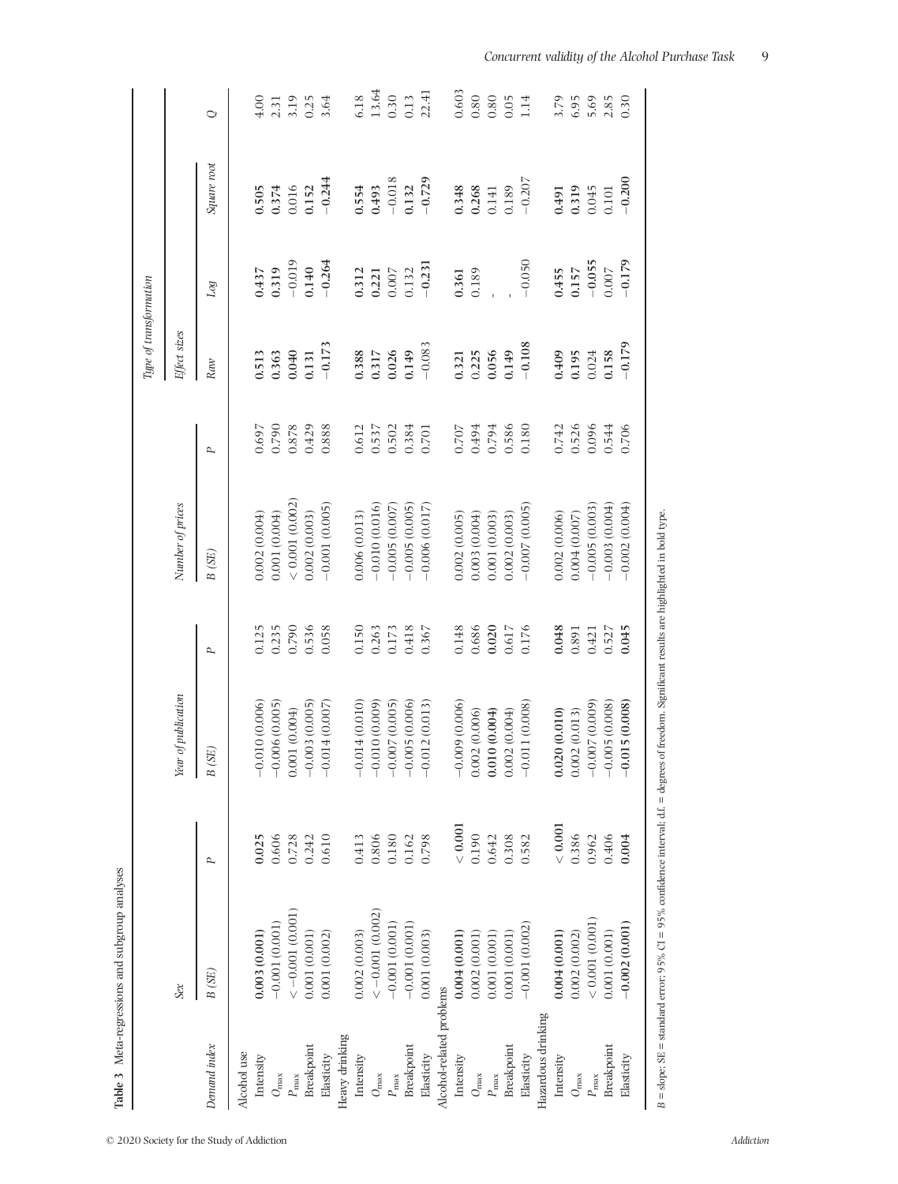| $<-0.001(0.001)$<br>$<-0.001(0.002)$<br>$-0.001(0.001)$<br>$-0.001(0.001)$<br>$-0.001$ (0.001)<br>0.003(0.001)<br>0.001(0.002)<br>0.002(0.003)<br>0.001(0.001)<br>B (SE)<br>Sex<br>Heavy drinking<br>Demand index<br><b>Breakpoint</b><br>Breakpoint<br>Alcohol use<br>Intensity<br>Elasticity<br>Intensity<br>$O_{\rm max}$<br>$P_{\rm max}$<br>$O_{\rm max}$<br>$P_{\rm max}$ | 0.025<br>0.606<br>0.728<br>0.610<br>0.242<br>0.413<br>P | Year of publication<br>$-0.010(0.006)$<br>$-0.006(0.005)$<br>0.001(0.004)<br>B(SE) |           |                  |           |              |          |             |              |
|---------------------------------------------------------------------------------------------------------------------------------------------------------------------------------------------------------------------------------------------------------------------------------------------------------------------------------------------------------------------------------|---------------------------------------------------------|------------------------------------------------------------------------------------|-----------|------------------|-----------|--------------|----------|-------------|--------------|
|                                                                                                                                                                                                                                                                                                                                                                                 |                                                         |                                                                                    |           | Number of prices |           | Effect sizes |          |             |              |
|                                                                                                                                                                                                                                                                                                                                                                                 |                                                         |                                                                                    | Ρ         | B(SE)            | Ρ         | Raw          | Log      | Square root | Ő            |
|                                                                                                                                                                                                                                                                                                                                                                                 |                                                         |                                                                                    |           |                  |           |              |          |             |              |
|                                                                                                                                                                                                                                                                                                                                                                                 |                                                         |                                                                                    | 0.125     | 0.002 (0.004)    | 0.697     | 0.513        | 0.437    | 0.505       | 4.00         |
|                                                                                                                                                                                                                                                                                                                                                                                 |                                                         |                                                                                    | 0.235     | 0.001 (0.004)    | 0.790     | 0.363        | 0.319    | 0.374       | 2.31         |
|                                                                                                                                                                                                                                                                                                                                                                                 |                                                         |                                                                                    | 0.790     | < 0.001 (0.002)  | $0.878\,$ | 0.040        | $-0.019$ | 0.016       | 3.19         |
|                                                                                                                                                                                                                                                                                                                                                                                 |                                                         | $-0.003$ (0.005)                                                                   | 0.536     | 0.002 (0.003)    | 0.429     | 0.131        | 0.140    | 0.152       | 0.25         |
|                                                                                                                                                                                                                                                                                                                                                                                 |                                                         | $-0.014(0.007)$                                                                    | 0.058     | $-0.001(0.005)$  | 0.888     | $-0.173$     | $-0.264$ | $-0.244$    | 3.64         |
|                                                                                                                                                                                                                                                                                                                                                                                 |                                                         |                                                                                    |           |                  |           |              |          |             |              |
|                                                                                                                                                                                                                                                                                                                                                                                 |                                                         | $-0.014(0.010)$                                                                    | 0.150     | 0.006(0.013)     | 0.612     | 0.388        | 0.312    | 0.554       | 6.18         |
|                                                                                                                                                                                                                                                                                                                                                                                 | 0.806                                                   | $-0.010(0.009)$                                                                    | 0.263     | $-0.010(0.016)$  | 0.537     | 0.317        | 0.221    | 0.493       | 13.64        |
|                                                                                                                                                                                                                                                                                                                                                                                 | 0.180                                                   | $-0.007(0.005)$                                                                    | 0.173     | $-0.005(0.007)$  | 0.502     | 0.026        | $0.007$  | $-0.018$    | 0.30         |
|                                                                                                                                                                                                                                                                                                                                                                                 | 0.162                                                   | $-0.005(0.006)$                                                                    | 0.418     | $-0.005(0.005)$  | 0.384     | 0.149        | 0.132    | 0.132       | 0.13         |
| 0.001(0.003)<br>Elasticity                                                                                                                                                                                                                                                                                                                                                      | 0.798                                                   | $-0.012(0.013)$                                                                    | 0.367     | $-0.006(0.017)$  | $0.701\,$ | $-0.083$     | $-0.231$ | $-0.729$    | 22.41        |
| Alcohol-related problems                                                                                                                                                                                                                                                                                                                                                        |                                                         |                                                                                    |           |                  |           |              |          |             |              |
| 0.004(0.001)<br>Intensity                                                                                                                                                                                                                                                                                                                                                       | < 0.001                                                 | $-0.009(0.006)$                                                                    | 0.148     | 0.002(0.005)     | 0.707     | 0.321        | 0.361    | 0.348       | 0.603        |
| 0.002(0.001)<br>$O_{\rm max}$                                                                                                                                                                                                                                                                                                                                                   | 0.190                                                   | 0.002(0.006)                                                                       | 0.686     | 0.003(0.004)     | 0.494     | 0.225        | 0.189    | 0.268       | $0.80\,$     |
| 0.001(0.001)<br>$P_{\rm max}$                                                                                                                                                                                                                                                                                                                                                   | 0.642                                                   | 0.010(0.004)                                                                       | 0.020     | 0.001 (0.003)    | 0.794     | 0.056        |          | $0.141\,$   | 0.80         |
| 0.001(0.001)<br><b>Breakpoint</b>                                                                                                                                                                                                                                                                                                                                               | 0.308                                                   | 0.002(0.004)                                                                       | $0.617\,$ | 0.002(0.003)     | 0.586     | 0.149        |          | 0.189       | 0.05         |
| $-0.001(0.002)$<br>Elasticity                                                                                                                                                                                                                                                                                                                                                   | 0.582                                                   | $-0.011(0.008)$                                                                    | 0.176     | $-0.007(0.005)$  | 0.180     | $-0.108$     | $-0.050$ | $-0.207$    | 1.14         |
| Hazardous drinking                                                                                                                                                                                                                                                                                                                                                              |                                                         |                                                                                    |           |                  |           |              |          |             |              |
| 0.004(0.001)<br>Intensity                                                                                                                                                                                                                                                                                                                                                       | < 0.001                                                 | 0.020(0.010)                                                                       | 0.048     | 0.002(0.006)     | 0.742     | 0.409        | 0.455    | 0.491       | 3.79         |
| 0.002 (0.002)<br>$O_{\rm max}$                                                                                                                                                                                                                                                                                                                                                  | 0.386                                                   | 0.002(0.013)                                                                       | 0.891     | 0.004(0.007)     | 0.526     | 0.195        | 0.157    | 0.319       | 6.95         |
| $< 0.001$ (0.001)<br>$P_{\rm max}$                                                                                                                                                                                                                                                                                                                                              | 0.962                                                   | $-0.007(0.009)$                                                                    | 0.421     | $-0.005(0.003)$  | 0.096     | 0.024        | $-0.055$ | 0.045       | 5.69<br>2.85 |
| 0.001(0.001)<br>Breakpoint                                                                                                                                                                                                                                                                                                                                                      | 0.406                                                   | $-0.005(0.008)$                                                                    | 0.527     | $-0.003(0.004)$  | 0.544     | 0.158        | 0.007    | 0.101       |              |
| $-0.002(0.001)$<br>Elasticity                                                                                                                                                                                                                                                                                                                                                   | 0.004                                                   | $-0.015(0.008)$                                                                    | 0.045     | $-0.002(0.004)$  | 0.706     | $-0.179$     | $-0.179$ | $-0.200$    | 0.30         |

 $B =$ slope; SE = standard error; 95%  $CI = 95\%$  confidence interval; d.f. = degrees of freedom. Significant results are highlighted in bold type.  $B =$  slope; SE = standard error; 95% CI = 95% confidence interval; d.f. = degrees of freedom. Significant results are highlighted in bold type.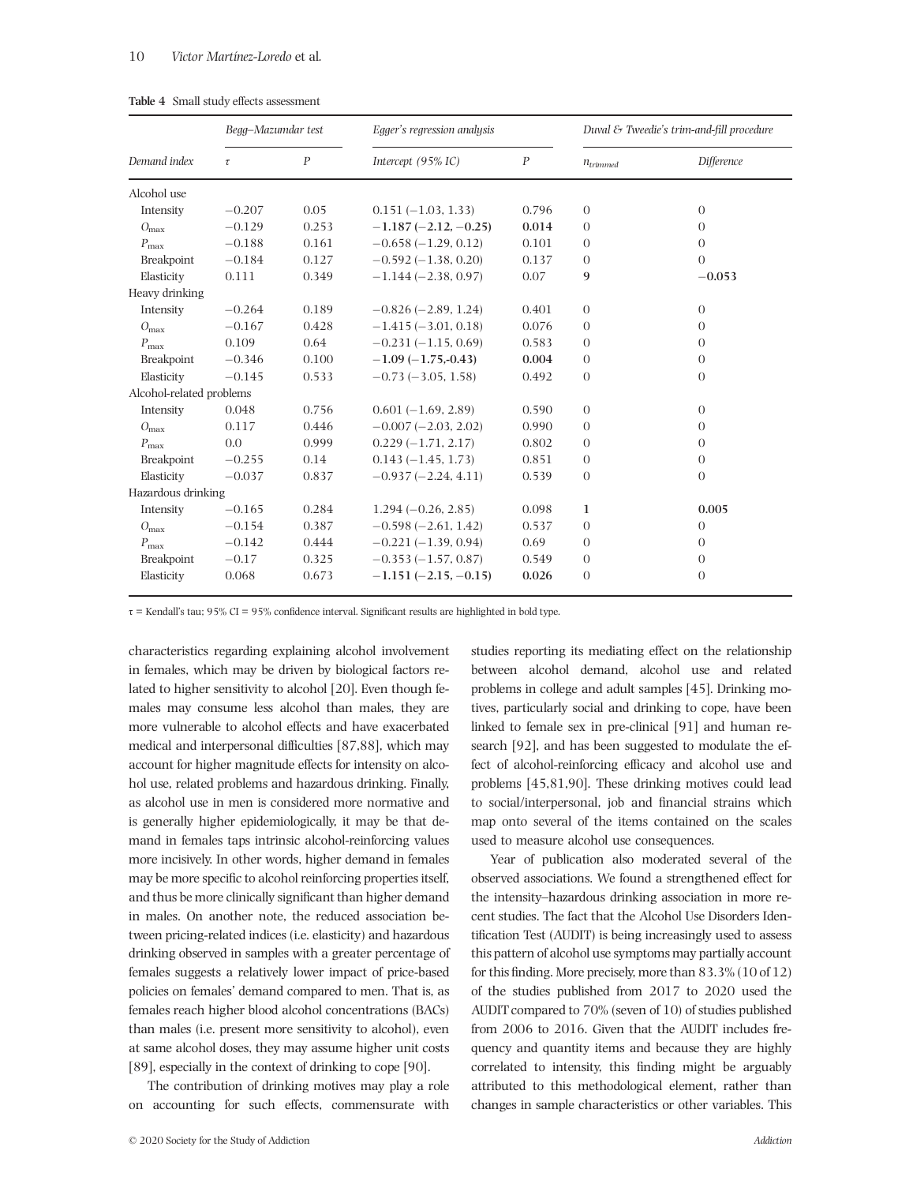|                          | Begg-Mazumdar test |                  | Egger's regression analysis |                  |               | Duval & Tweedie's trim-and-fill procedure |
|--------------------------|--------------------|------------------|-----------------------------|------------------|---------------|-------------------------------------------|
| Demand index             | $\tau$             | $\boldsymbol{P}$ | Intercept (95% IC)          | $\boldsymbol{P}$ | $n_{trimmed}$ | Difference                                |
| Alcohol use              |                    |                  |                             |                  |               |                                           |
| Intensity                | $-0.207$           | 0.05             | $0.151(-1.03, 1.33)$        | 0.796            | $\theta$      | $\theta$                                  |
| $O_{\text{max}}$         | $-0.129$           | 0.253            | $-1.187(-2.12,-0.25)$       | 0.014            | $\theta$      | $\Omega$                                  |
| $P_{\text{max}}$         | $-0.188$           | 0.161            | $-0.658(-1.29, 0.12)$       | 0.101            | $\theta$      | $\theta$                                  |
| Breakpoint               | $-0.184$           | 0.127            | $-0.592(-1.38, 0.20)$       | 0.137            | $\theta$      | $\theta$                                  |
| Elasticity               | 0.111              | 0.349            | $-1.144(-2.38, 0.97)$       | 0.07             | 9             | $-0.053$                                  |
| Heavy drinking           |                    |                  |                             |                  |               |                                           |
| Intensity                | $-0.264$           | 0.189            | $-0.826(-2.89, 1.24)$       | 0.401            | $\theta$      | $\theta$                                  |
| $O_{\text{max}}$         | $-0.167$           | 0.428            | $-1.415(-3.01, 0.18)$       | 0.076            | $\theta$      | $\theta$                                  |
| $P_{\rm max}$            | 0.109              | 0.64             | $-0.231(-1.15, 0.69)$       | 0.583            | $\theta$      | $\Omega$                                  |
| Breakpoint               | $-0.346$           | 0.100            | $-1.09(-1.75,-0.43)$        | 0.004            | $\theta$      | $\theta$                                  |
| Elasticity               | $-0.145$           | 0.533            | $-0.73$ ( $-3.05$ , 1.58)   | 0.492            | $\theta$      | $\theta$                                  |
| Alcohol-related problems |                    |                  |                             |                  |               |                                           |
| Intensity                | 0.048              | 0.756            | $0.601(-1.69, 2.89)$        | 0.590            | $\theta$      | $\theta$                                  |
| $O_{\text{max}}$         | 0.117              | 0.446            | $-0.007(-2.03, 2.02)$       | 0.990            | $\theta$      | $\theta$                                  |
| $P_{\text{max}}$         | 0.0                | 0.999            | $0.229(-1.71, 2.17)$        | 0.802            | $\theta$      | $\overline{0}$                            |
| Breakpoint               | $-0.255$           | 0.14             | $0.143(-1.45, 1.73)$        | 0.851            | $\theta$      | $\theta$                                  |
| Elasticity               | $-0.037$           | 0.837            | $-0.937(-2.24, 4.11)$       | 0.539            | $\theta$      | $\theta$                                  |
| Hazardous drinking       |                    |                  |                             |                  |               |                                           |
| Intensity                | $-0.165$           | 0.284            | $1.294(-0.26, 2.85)$        | 0.098            | 1             | 0.005                                     |
| $O_{\text{max}}$         | $-0.154$           | 0.387            | $-0.598(-2.61, 1.42)$       | 0.537            | $\theta$      | $\theta$                                  |
| $P_{\text{max}}$         | $-0.142$           | 0.444            | $-0.221(-1.39, 0.94)$       | 0.69             | $\theta$      | $\theta$                                  |
| Breakpoint               | $-0.17$            | 0.325            | $-0.353(-1.57, 0.87)$       | 0.549            | $\theta$      | $\theta$                                  |
| Elasticity               | 0.068              | 0.673            | $-1.151(-2.15, -0.15)$      | 0.026            | $\Omega$      | $\overline{0}$                            |

**Table 4** Small study effects assessment

 $\tau$  = Kendall's tau; 95% CI = 95% confidence interval. Significant results are highlighted in bold type.

characteristics regarding explaining alcohol involvement in females, which may be driven by biological factors related to higher sensitivity to alcohol [20]. Even though females may consume less alcohol than males, they are more vulnerable to alcohol effects and have exacerbated medical and interpersonal difficulties [87,88], which may account for higher magnitude effects for intensity on alcohol use, related problems and hazardous drinking. Finally, as alcohol use in men is considered more normative and is generally higher epidemiologically, it may be that demand in females taps intrinsic alcohol-reinforcing values more incisively. In other words, higher demand in females may be more specific to alcohol reinforcing properties itself, and thus be more clinically significant than higher demand in males. On another note, the reduced association between pricing-related indices (i.e. elasticity) and hazardous drinking observed in samples with a greater percentage of females suggests a relatively lower impact of price-based policies on females' demand compared to men. That is, as females reach higher blood alcohol concentrations (BACs) than males (i.e. present more sensitivity to alcohol), even at same alcohol doses, they may assume higher unit costs [89], especially in the context of drinking to cope [90].

The contribution of drinking motives may play a role on accounting for such effects, commensurate with

© 2020 Society for the Study of Addiction *Addiction*

studies reporting its mediating effect on the relationship between alcohol demand, alcohol use and related problems in college and adult samples [45]. Drinking motives, particularly social and drinking to cope, have been linked to female sex in pre-clinical [91] and human research [92], and has been suggested to modulate the effect of alcohol-reinforcing efficacy and alcohol use and problems [45,81,90]. These drinking motives could lead to social/interpersonal, job and financial strains which map onto several of the items contained on the scales used to measure alcohol use consequences.

Year of publication also moderated several of the observed associations. We found a strengthened effect for the intensity–hazardous drinking association in more recent studies. The fact that the Alcohol Use Disorders Identification Test (AUDIT) is being increasingly used to assess this pattern of alcohol use symptoms may partially account for this finding. More precisely, more than 83.3% (10 of 12) of the studies published from 2017 to 2020 used the AUDIT compared to 70% (seven of 10) of studies published from 2006 to 2016. Given that the AUDIT includes frequency and quantity items and because they are highly correlated to intensity, this finding might be arguably attributed to this methodological element, rather than changes in sample characteristics or other variables. This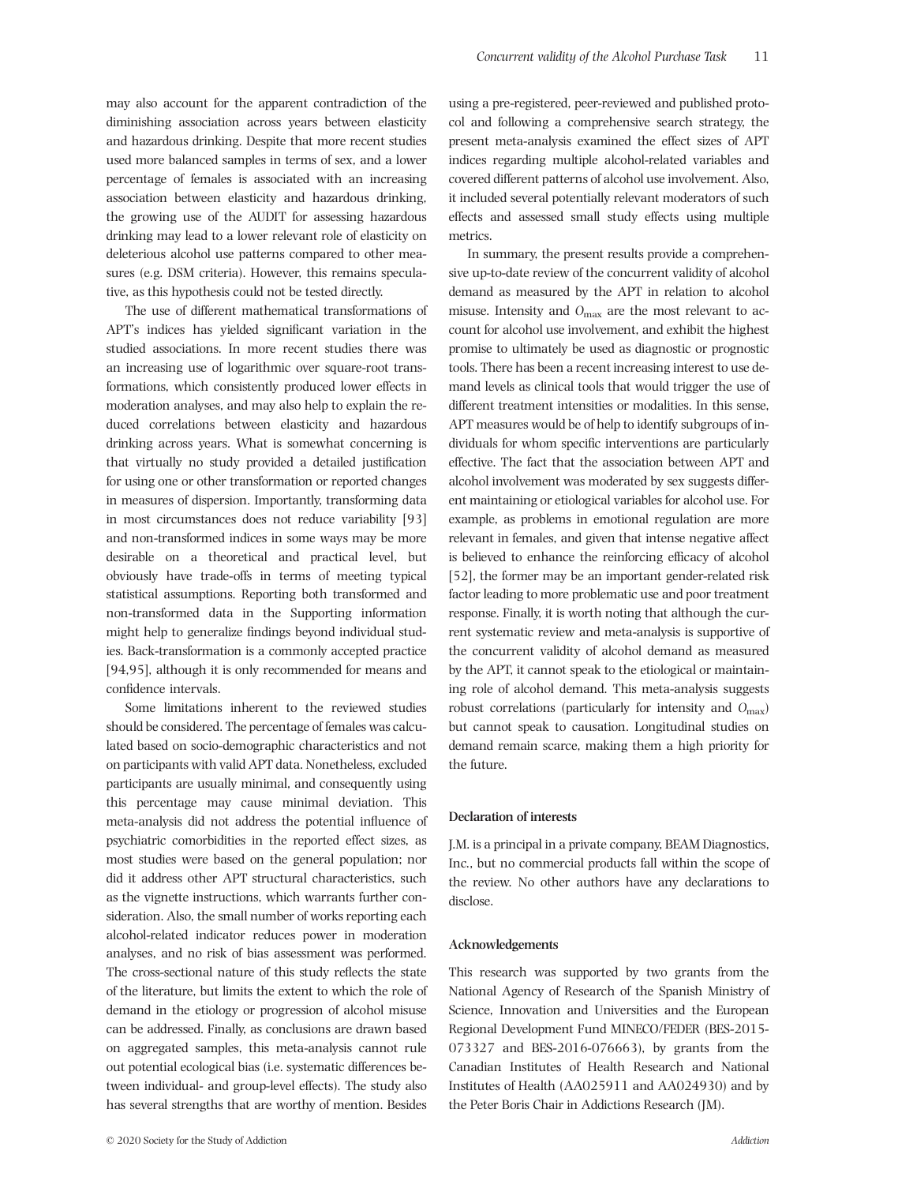and hazardous drinking. Despite that more recent studies used more balanced samples in terms of sex, and a lower percentage of females is associated with an increasing association between elasticity and hazardous drinking, the growing use of the AUDIT for assessing hazardous drinking may lead to a lower relevant role of elasticity on deleterious alcohol use patterns compared to other measures (e.g. DSM criteria). However, this remains speculative, as this hypothesis could not be tested directly.

The use of different mathematical transformations of APT's indices has yielded significant variation in the studied associations. In more recent studies there was an increasing use of logarithmic over square-root transformations, which consistently produced lower effects in moderation analyses, and may also help to explain the reduced correlations between elasticity and hazardous drinking across years. What is somewhat concerning is that virtually no study provided a detailed justification for using one or other transformation or reported changes in measures of dispersion. Importantly, transforming data in most circumstances does not reduce variability [93] and non-transformed indices in some ways may be more desirable on a theoretical and practical level, but obviously have trade-offs in terms of meeting typical statistical assumptions. Reporting both transformed and non-transformed data in the Supporting information might help to generalize findings beyond individual studies. Back-transformation is a commonly accepted practice [94,95], although it is only recommended for means and confidence intervals.

Some limitations inherent to the reviewed studies should be considered. The percentage of females was calculated based on socio-demographic characteristics and not on participants with valid APT data. Nonetheless, excluded participants are usually minimal, and consequently using this percentage may cause minimal deviation. This meta-analysis did not address the potential influence of psychiatric comorbidities in the reported effect sizes, as most studies were based on the general population; nor did it address other APT structural characteristics, such as the vignette instructions, which warrants further consideration. Also, the small number of works reporting each alcohol-related indicator reduces power in moderation analyses, and no risk of bias assessment was performed. The cross-sectional nature of this study reflects the state of the literature, but limits the extent to which the role of demand in the etiology or progression of alcohol misuse can be addressed. Finally, as conclusions are drawn based on aggregated samples, this meta-analysis cannot rule out potential ecological bias (i.e. systematic differences between individual- and group-level effects). The study also has several strengths that are worthy of mention. Besides

using a pre-registered, peer-reviewed and published protocol and following a comprehensive search strategy, the present meta-analysis examined the effect sizes of APT indices regarding multiple alcohol-related variables and covered different patterns of alcohol use involvement. Also, it included several potentially relevant moderators of such effects and assessed small study effects using multiple metrics.

In summary, the present results provide a comprehensive up-to-date review of the concurrent validity of alcohol demand as measured by the APT in relation to alcohol misuse. Intensity and *O*max are the most relevant to account for alcohol use involvement, and exhibit the highest promise to ultimately be used as diagnostic or prognostic tools. There has been a recent increasing interest to use demand levels as clinical tools that would trigger the use of different treatment intensities or modalities. In this sense, APT measures would be of help to identify subgroups of individuals for whom specific interventions are particularly effective. The fact that the association between APT and alcohol involvement was moderated by sex suggests different maintaining or etiological variables for alcohol use. For example, as problems in emotional regulation are more relevant in females, and given that intense negative affect is believed to enhance the reinforcing efficacy of alcohol [52], the former may be an important gender-related risk factor leading to more problematic use and poor treatment response. Finally, it is worth noting that although the current systematic review and meta-analysis is supportive of the concurrent validity of alcohol demand as measured by the APT, it cannot speak to the etiological or maintaining role of alcohol demand. This meta-analysis suggests robust correlations (particularly for intensity and *O*max) but cannot speak to causation. Longitudinal studies on demand remain scarce, making them a high priority for the future.

### **Declaration of interests**

J.M. is a principal in a private company, BEAM Diagnostics, Inc., but no commercial products fall within the scope of the review. No other authors have any declarations to disclose.

# **Acknowledgements**

This research was supported by two grants from the National Agency of Research of the Spanish Ministry of Science, Innovation and Universities and the European Regional Development Fund MINECO/FEDER (BES-2015- 073327 and BES-2016-076663), by grants from the Canadian Institutes of Health Research and National Institutes of Health (AA025911 and AA024930) and by the Peter Boris Chair in Addictions Research (JM).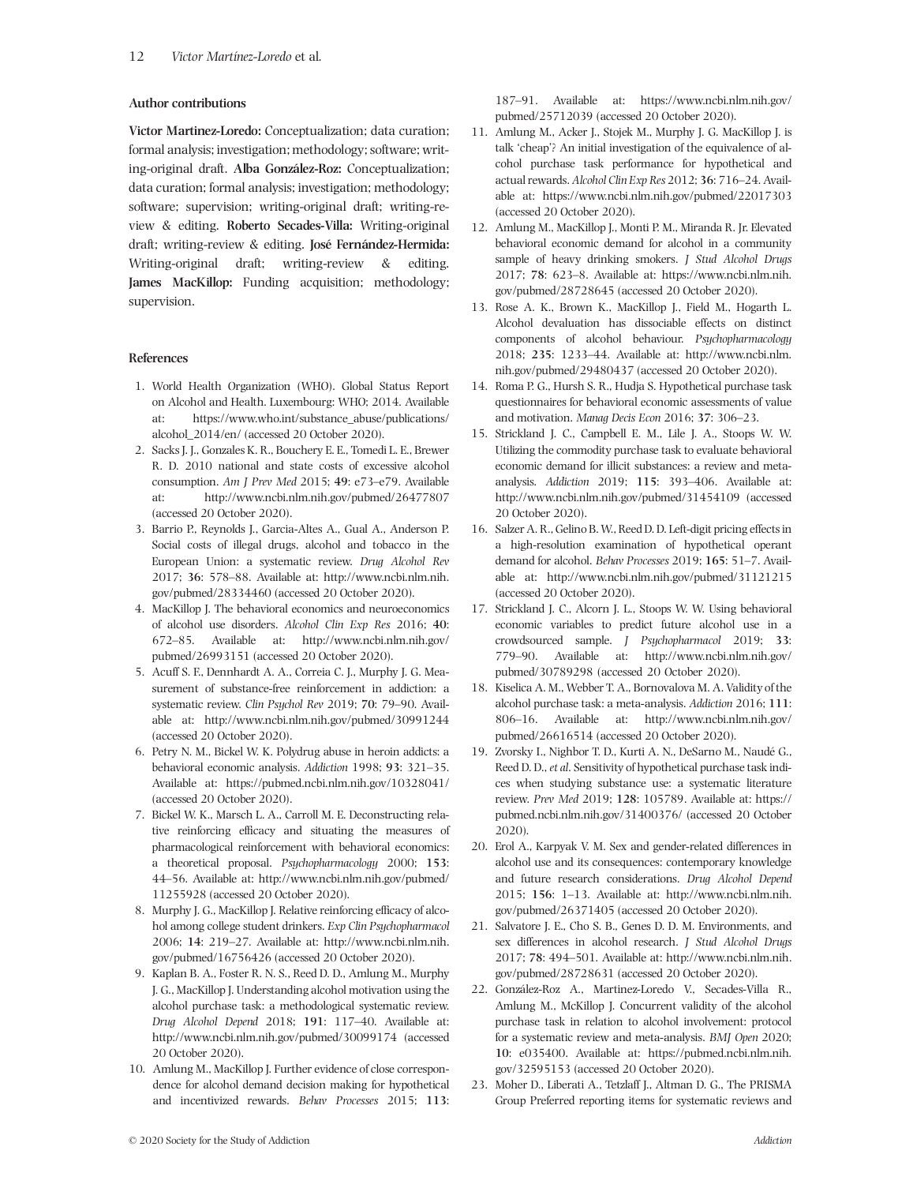# **Author contributions**

**Victor Martinez-Loredo:** Conceptualization; data curation; formal analysis; investigation; methodology; software; writing-original draft. **Alba González-Roz:** Conceptualization; data curation; formal analysis; investigation; methodology; software; supervision; writing-original draft; writing-review & editing. **Roberto Secades-Villa:** Writing-original draft; writing-review & editing. **José Fernández-Hermida:** Writing-original draft; writing-review & editing. **James MacKillop:** Funding acquisition; methodology; supervision.

# **References**

- 1. World Health Organization (WHO). Global Status Report on Alcohol and Health. Luxembourg: WHO; 2014. Available at: [https://www.who.int/substance\\_abuse/publications/](https://www.who.int/substance_abuse/publications/alcohol_2014/en/) [alcohol\\_2014/en/](https://www.who.int/substance_abuse/publications/alcohol_2014/en/) (accessed 20 October 2020).
- 2. Sacks J. J., Gonzales K. R., Bouchery E. E., Tomedi L. E., Brewer R. D. 2010 national and state costs of excessive alcohol consumption. *Am J Prev Med* 2015; **49**: e73–e79. Available at:<http://www.ncbi.nlm.nih.gov/pubmed/26477807> (accessed 20 October 2020).
- 3. Barrio P., Reynolds J., Garcia-Altes A., Gual A., Anderson P. Social costs of illegal drugs, alcohol and tobacco in the European Union: a systematic review. *Drug Alcohol Rev* 2017; **36**: 578–88. Available at: [http://www.ncbi.nlm.nih.](http://www.ncbi.nlm.nih.gov/pubmed/28334460) [gov/pubmed/28334460](http://www.ncbi.nlm.nih.gov/pubmed/28334460) (accessed 20 October 2020).
- 4. MacKillop J. The behavioral economics and neuroeconomics of alcohol use disorders. *Alcohol Clin Exp Res* 2016; **40**: 672–85. Available at: [http://www.ncbi.nlm.nih.gov/](http://www.ncbi.nlm.nih.gov/pubmed/26993151) [pubmed/26993151](http://www.ncbi.nlm.nih.gov/pubmed/26993151) (accessed 20 October 2020).
- 5. Acuff S. F., Dennhardt A. A., Correia C. J., Murphy J. G. Measurement of substance-free reinforcement in addiction: a systematic review. *Clin Psychol Rev* 2019; **70**: 79–90. Available at:<http://www.ncbi.nlm.nih.gov/pubmed/30991244> (accessed 20 October 2020).
- 6. Petry N. M., Bickel W. K. Polydrug abuse in heroin addicts: a behavioral economic analysis. *Addiction* 1998; **93**: 321–35. Available at:<https://pubmed.ncbi.nlm.nih.gov/10328041/> (accessed 20 October 2020).
- 7. Bickel W. K., Marsch L. A., Carroll M. E. Deconstructing relative reinforcing efficacy and situating the measures of pharmacological reinforcement with behavioral economics: a theoretical proposal. *Psychopharmacology* 2000; **153**: 44–56. Available at: [http://www.ncbi.nlm.nih.gov/pubmed/](http://www.ncbi.nlm.nih.gov/pubmed/11255928) [11255928](http://www.ncbi.nlm.nih.gov/pubmed/11255928) (accessed 20 October 2020).
- 8. Murphy J. G., MacKillop J. Relative reinforcing efficacy of alcohol among college student drinkers. *Exp Clin Psychopharmacol* 2006; **14**: 219–27. Available at: [http://www.ncbi.nlm.nih.](http://www.ncbi.nlm.nih.gov/pubmed/16756426) [gov/pubmed/16756426](http://www.ncbi.nlm.nih.gov/pubmed/16756426) (accessed 20 October 2020).
- 9. Kaplan B. A., Foster R. N. S., Reed D. D., Amlung M., Murphy J. G., MacKillop J. Understanding alcohol motivation using the alcohol purchase task: a methodological systematic review. *Drug Alcohol Depend* 2018; **191**: 117–40. Available at: <http://www.ncbi.nlm.nih.gov/pubmed/30099174> (accessed 20 October 2020).
- 10. Amlung M., MacKillop J. Further evidence of close correspondence for alcohol demand decision making for hypothetical and incentivized rewards. *Behav Processes* 2015; **113**:

187–91. Available at: [https://www.ncbi.nlm.nih.gov/](https://www.ncbi.nlm.nih.gov/pubmed/25712039) [pubmed/25712039](https://www.ncbi.nlm.nih.gov/pubmed/25712039) (accessed 20 October 2020).

- 11. Amlung M., Acker J., Stojek M., Murphy J. G. MacKillop J. is talk 'cheap'? An initial investigation of the equivalence of alcohol purchase task performance for hypothetical and actual rewards. *Alcohol Clin Exp Res* 2012; **36**: 716–24. Available at:<https://www.ncbi.nlm.nih.gov/pubmed/22017303> (accessed 20 October 2020).
- 12. Amlung M., MacKillop J., Monti P. M., Miranda R. Jr. Elevated behavioral economic demand for alcohol in a community sample of heavy drinking smokers. *J Stud Alcohol Drugs* 2017; **78**: 623–8. Available at: [https://www.ncbi.nlm.nih.](https://www.ncbi.nlm.nih.gov/pubmed/28728645) [gov/pubmed/28728645](https://www.ncbi.nlm.nih.gov/pubmed/28728645) (accessed 20 October 2020).
- 13. Rose A. K., Brown K., MacKillop J., Field M., Hogarth L. Alcohol devaluation has dissociable effects on distinct components of alcohol behaviour. *Psychopharmacology* 2018; **235**: 1233–44. Available at: [http://www.ncbi.nlm.](http://www.ncbi.nlm.nih.gov/pubmed/29480437) [nih.gov/pubmed/29480437](http://www.ncbi.nlm.nih.gov/pubmed/29480437) (accessed 20 October 2020).
- 14. Roma P. G., Hursh S. R., Hudja S. Hypothetical purchase task questionnaires for behavioral economic assessments of value and motivation. *Manag Decis Econ* 2016; **37**: 306–23.
- 15. Strickland J. C., Campbell E. M., Lile J. A., Stoops W. W. Utilizing the commodity purchase task to evaluate behavioral economic demand for illicit substances: a review and metaanalysis. *Addiction* 2019; **115**: 393–406. Available at: <http://www.ncbi.nlm.nih.gov/pubmed/31454109> (accessed 20 October 2020).
- 16. Salzer A. R., Gelino B. W., Reed D. D. Left-digit pricing effects in a high-resolution examination of hypothetical operant demand for alcohol. *Behav Processes* 2019; **165**: 51–7. Available at:<http://www.ncbi.nlm.nih.gov/pubmed/31121215> (accessed 20 October 2020).
- 17. Strickland J. C., Alcorn J. L., Stoops W. W. Using behavioral economic variables to predict future alcohol use in a crowdsourced sample. *J Psychopharmacol* 2019; **33**: 779–90. Available at: [http://www.ncbi.nlm.nih.gov/](http://www.ncbi.nlm.nih.gov/pubmed/30789298) [pubmed/30789298](http://www.ncbi.nlm.nih.gov/pubmed/30789298) (accessed 20 October 2020).
- 18. Kiselica A. M., Webber T. A., Bornovalova M. A. Validity of the alcohol purchase task: a meta-analysis. *Addiction* 2016; **111**: 806–16. Available at: [http://www.ncbi.nlm.nih.gov/](http://www.ncbi.nlm.nih.gov/pubmed/26616514) [pubmed/26616514](http://www.ncbi.nlm.nih.gov/pubmed/26616514) (accessed 20 October 2020).
- 19. Zvorsky I., Nighbor T. D., Kurti A. N., DeSarno M., Naudé G., Reed D. D.,*et al*. Sensitivity of hypothetical purchase task indices when studying substance use: a systematic literature review. *Prev Med* 2019; **128**: 105789. Available at: [https://](https://pubmed.ncbi.nlm.nih.gov/31400376/) [pubmed.ncbi.nlm.nih.gov/31400376/](https://pubmed.ncbi.nlm.nih.gov/31400376/) (accessed 20 October 2020).
- 20. Erol A., Karpyak V. M. Sex and gender-related differences in alcohol use and its consequences: contemporary knowledge and future research considerations. *Drug Alcohol Depend* 2015; **156**: 1–13. Available at: [http://www.ncbi.nlm.nih.](http://www.ncbi.nlm.nih.gov/pubmed/26371405) [gov/pubmed/26371405](http://www.ncbi.nlm.nih.gov/pubmed/26371405) (accessed 20 October 2020).
- 21. Salvatore J. E., Cho S. B., Genes D. D. M. Environments, and sex differences in alcohol research. *J Stud Alcohol Drugs* 2017; **78**: 494–501. Available at: [http://www.ncbi.nlm.nih.](http://www.ncbi.nlm.nih.gov/pubmed/28728631) [gov/pubmed/28728631](http://www.ncbi.nlm.nih.gov/pubmed/28728631) (accessed 20 October 2020).
- 22. González-Roz A., Martinez-Loredo V., Secades-Villa R., Amlung M., McKillop J. Concurrent validity of the alcohol purchase task in relation to alcohol involvement: protocol for a systematic review and meta-analysis. *BMJ Open* 2020; **10**: e035400. Available at: [https://pubmed.ncbi.nlm.nih.](https://pubmed.ncbi.nlm.nih.gov/32595153) [gov/32595153](https://pubmed.ncbi.nlm.nih.gov/32595153) (accessed 20 October 2020).
- 23. Moher D., Liberati A., Tetzlaff J., Altman D. G., The PRISMA Group Preferred reporting items for systematic reviews and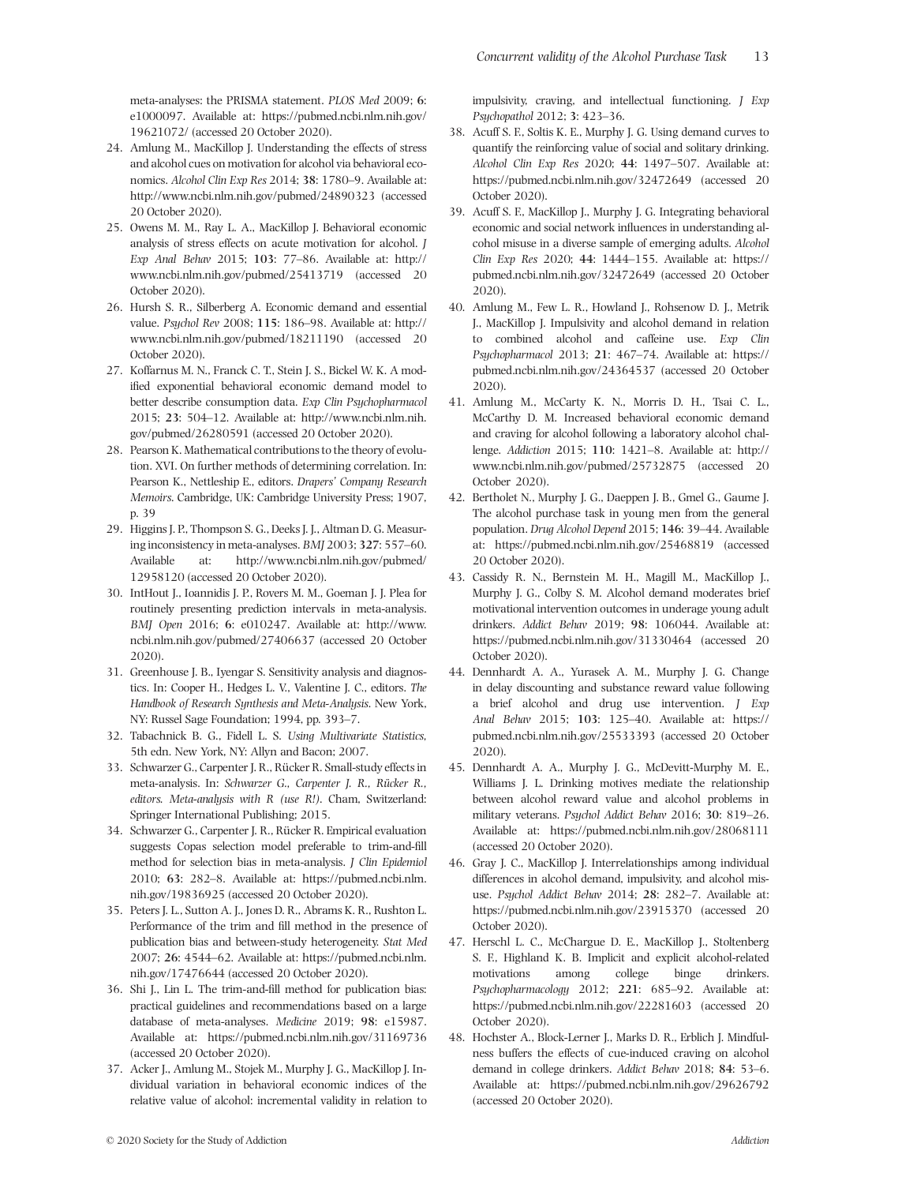meta-analyses: the PRISMA statement. *PLOS Med* 2009; **6**: e1000097. Available at: [https://pubmed.ncbi.nlm.nih.gov/](https://pubmed.ncbi.nlm.nih.gov/19621072/) [19621072/](https://pubmed.ncbi.nlm.nih.gov/19621072/) (accessed 20 October 2020).

- 24. Amlung M., MacKillop J. Understanding the effects of stress and alcohol cues on motivation for alcohol via behavioral economics. *Alcohol Clin Exp Res* 2014; **38**: 1780–9. Available at: <http://www.ncbi.nlm.nih.gov/pubmed/24890323> (accessed 20 October 2020).
- 25. Owens M. M., Ray L. A., MacKillop J. Behavioral economic analysis of stress effects on acute motivation for alcohol. *J Exp Anal Behav* 2015; **103**: 77–86. Available at: [http://](http://www.ncbi.nlm.nih.gov/pubmed/25413719) [www.ncbi.nlm.nih.gov/pubmed/25413719](http://www.ncbi.nlm.nih.gov/pubmed/25413719) (accessed 20 October 2020).
- 26. Hursh S. R., Silberberg A. Economic demand and essential value. *Psychol Rev* 2008; **115**: 186–98. Available at: [http://](http://www.ncbi.nlm.nih.gov/pubmed/18211190) [www.ncbi.nlm.nih.gov/pubmed/18211190](http://www.ncbi.nlm.nih.gov/pubmed/18211190) (accessed 20 October 2020).
- 27. Koffarnus M. N., Franck C. T., Stein J. S., Bickel W. K. A modified exponential behavioral economic demand model to better describe consumption data. *Exp Clin Psychopharmacol* 2015; **23**: 504–12. Available at: [http://www.ncbi.nlm.nih.](http://www.ncbi.nlm.nih.gov/pubmed/26280591) [gov/pubmed/26280591](http://www.ncbi.nlm.nih.gov/pubmed/26280591) (accessed 20 October 2020).
- 28. Pearson K. Mathematical contributions to the theory of evolution. XVI. On further methods of determining correlation. In: Pearson K., Nettleship E., editors. *Drapers' Company Research Memoirs*. Cambridge, UK: Cambridge University Press; 1907, p. 39
- 29. Higgins J. P., Thompson S. G., Deeks J. J., Altman D. G. Measuring inconsistency in meta-analyses.*BMJ* 2003; **327**: 557–60. Available at: [http://www.ncbi.nlm.nih.gov/pubmed/](http://www.ncbi.nlm.nih.gov/pubmed/12958120) [12958120](http://www.ncbi.nlm.nih.gov/pubmed/12958120) (accessed 20 October 2020).
- 30. IntHout J., Ioannidis J. P., Rovers M. M., Goeman J. J. Plea for routinely presenting prediction intervals in meta-analysis. *BMJ Open* 2016; **6**: e010247. Available at: [http://www.](http://www.ncbi.nlm.nih.gov/pubmed/27406637) [ncbi.nlm.nih.gov/pubmed/27406637](http://www.ncbi.nlm.nih.gov/pubmed/27406637) (accessed 20 October 2020).
- 31. Greenhouse J. B., Iyengar S. Sensitivity analysis and diagnostics. In: Cooper H., Hedges L. V., Valentine J. C., editors. *The Handbook of Research Synthesis and Meta-Analysis*. New York, NY: Russel Sage Foundation; 1994, pp. 393–7.
- 32. Tabachnick B. G., Fidell L. S. *Using Multivariate Statistics,* 5th edn. New York, NY: Allyn and Bacon; 2007.
- 33. Schwarzer G., Carpenter J. R., Rücker R. Small-study effects in meta-analysis. In: *Schwarzer G., Carpenter J. R., Rücker R., editors. Meta-analysis with R (use R!)*. Cham, Switzerland: Springer International Publishing; 2015.
- 34. Schwarzer G., Carpenter J. R., Rücker R. Empirical evaluation suggests Copas selection model preferable to trim-and-fill method for selection bias in meta-analysis. *J Clin Epidemiol* 2010; **63**: 282–8. Available at: [https://pubmed.ncbi.nlm.](https://pubmed.ncbi.nlm.nih.gov/19836925) [nih.gov/19836925](https://pubmed.ncbi.nlm.nih.gov/19836925) (accessed 20 October 2020).
- 35. Peters J. L., Sutton A. J., Jones D. R., Abrams K. R., Rushton L. Performance of the trim and fill method in the presence of publication bias and between-study heterogeneity. *Stat Med* 2007; **26**: 4544–62. Available at: [https://pubmed.ncbi.nlm.](https://pubmed.ncbi.nlm.nih.gov/17476644) [nih.gov/17476644](https://pubmed.ncbi.nlm.nih.gov/17476644) (accessed 20 October 2020).
- 36. Shi J., Lin L. The trim-and-fill method for publication bias: practical guidelines and recommendations based on a large database of meta-analyses. *Medicine* 2019; **98**: e15987. Available at:<https://pubmed.ncbi.nlm.nih.gov/31169736> (accessed 20 October 2020).
- 37. Acker J., Amlung M., Stojek M., Murphy J. G., MacKillop J. Individual variation in behavioral economic indices of the relative value of alcohol: incremental validity in relation to

impulsivity, craving, and intellectual functioning. *J Exp Psychopathol* 2012; **3**: 423–36.

- 38. Acuff S. F., Soltis K. E., Murphy J. G. Using demand curves to quantify the reinforcing value of social and solitary drinking. *Alcohol Clin Exp Res* 2020; **44**: 1497–507. Available at: <https://pubmed.ncbi.nlm.nih.gov/32472649> (accessed 20 October 2020).
- 39. Acuff S. F., MacKillop J., Murphy J. G. Integrating behavioral economic and social network influences in understanding alcohol misuse in a diverse sample of emerging adults. *Alcohol Clin Exp Res* 2020; **44**: 1444–155. Available at: [https://](https://pubmed.ncbi.nlm.nih.gov/32472649) [pubmed.ncbi.nlm.nih.gov/32472649](https://pubmed.ncbi.nlm.nih.gov/32472649) (accessed 20 October 2020).
- 40. Amlung M., Few L. R., Howland J., Rohsenow D. J., Metrik J., MacKillop J. Impulsivity and alcohol demand in relation to combined alcohol and caffeine use. *Exp Clin Psychopharmacol* 2013; **21**: 467–74. Available at: [https://](https://pubmed.ncbi.nlm.nih.gov/24364537) [pubmed.ncbi.nlm.nih.gov/24364537](https://pubmed.ncbi.nlm.nih.gov/24364537) (accessed 20 October 2020).
- 41. Amlung M., McCarty K. N., Morris D. H., Tsai C. L., McCarthy D. M. Increased behavioral economic demand and craving for alcohol following a laboratory alcohol challenge. *Addiction* 2015; **110**: 1421–8. Available at: [http://](http://www.ncbi.nlm.nih.gov/pubmed/25732875) [www.ncbi.nlm.nih.gov/pubmed/25732875](http://www.ncbi.nlm.nih.gov/pubmed/25732875) (accessed 20 October 2020).
- 42. Bertholet N., Murphy J. G., Daeppen J. B., Gmel G., Gaume J. The alcohol purchase task in young men from the general population. *Drug Alcohol Depend* 2015; **146**: 39–44. Available at:<https://pubmed.ncbi.nlm.nih.gov/25468819> (accessed 20 October 2020).
- 43. Cassidy R. N., Bernstein M. H., Magill M., MacKillop J., Murphy J. G., Colby S. M. Alcohol demand moderates brief motivational intervention outcomes in underage young adult drinkers. *Addict Behav* 2019; **98**: 106044. Available at: <https://pubmed.ncbi.nlm.nih.gov/31330464> (accessed 20 October 2020).
- 44. Dennhardt A. A., Yurasek A. M., Murphy J. G. Change in delay discounting and substance reward value following a brief alcohol and drug use intervention. *J Exp Anal Behav* 2015; **103**: 125–40. Available at: [https://](https://pubmed.ncbi.nlm.nih.gov/25533393) [pubmed.ncbi.nlm.nih.gov/25533393](https://pubmed.ncbi.nlm.nih.gov/25533393) (accessed 20 October 2020).
- 45. Dennhardt A. A., Murphy J. G., McDevitt-Murphy M. E., Williams J. L. Drinking motives mediate the relationship between alcohol reward value and alcohol problems in military veterans. *Psychol Addict Behav* 2016; **30**: 819–26. Available at:<https://pubmed.ncbi.nlm.nih.gov/28068111> (accessed 20 October 2020).
- 46. Gray J. C., MacKillop J. Interrelationships among individual differences in alcohol demand, impulsivity, and alcohol misuse. *Psychol Addict Behav* 2014; **28**: 282–7. Available at: <https://pubmed.ncbi.nlm.nih.gov/23915370> (accessed 20 October 2020).
- 47. Herschl L. C., McChargue D. E., MacKillop J., Stoltenberg S. F., Highland K. B. Implicit and explicit alcohol-related motivations among college binge drinkers. *Psychopharmacology* 2012; **221**: 685–92. Available at: <https://pubmed.ncbi.nlm.nih.gov/22281603> (accessed 20 October 2020).
- 48. Hochster A., Block-Lerner J., Marks D. R., Erblich J. Mindfulness buffers the effects of cue-induced craving on alcohol demand in college drinkers. *Addict Behav* 2018; **84**: 53–6. Available at:<https://pubmed.ncbi.nlm.nih.gov/29626792> (accessed 20 October 2020).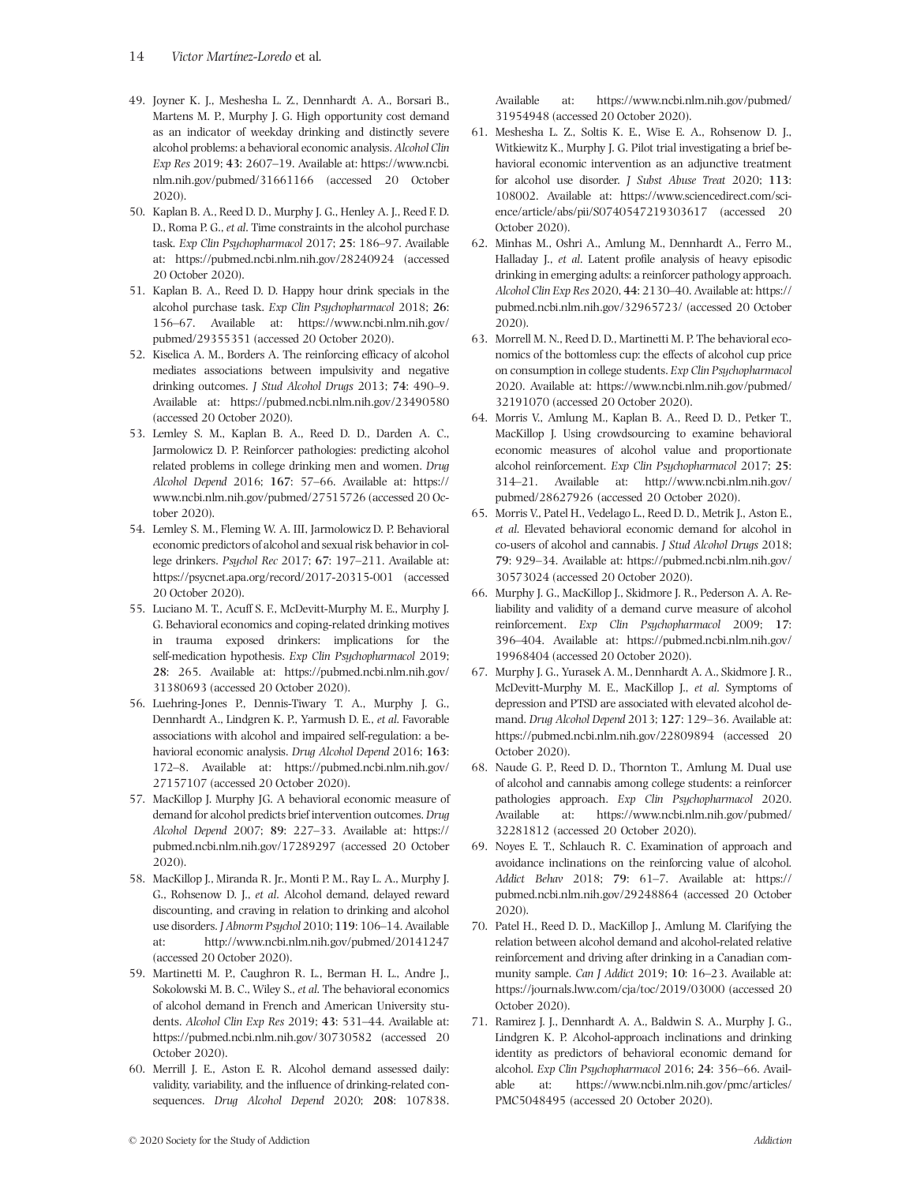- 49. Joyner K. J., Meshesha L. Z., Dennhardt A. A., Borsari B., Martens M. P., Murphy J. G. High opportunity cost demand as an indicator of weekday drinking and distinctly severe alcohol problems: a behavioral economic analysis. *Alcohol Clin Exp Res* 2019; **43**: 2607–19. Available at: [https://www.ncbi.](https://www.ncbi.nlm.nih.gov/pubmed/31661166) [nlm.nih.gov/pubmed/31661166](https://www.ncbi.nlm.nih.gov/pubmed/31661166) (accessed 20 October 2020).
- 50. Kaplan B. A., Reed D. D., Murphy J. G., Henley A. J., Reed F. D. D., Roma P. G., *et al*. Time constraints in the alcohol purchase task. *Exp Clin Psychopharmacol* 2017; **25**: 186–97. Available at:<https://pubmed.ncbi.nlm.nih.gov/28240924> (accessed 20 October 2020).
- 51. Kaplan B. A., Reed D. D. Happy hour drink specials in the alcohol purchase task. *Exp Clin Psychopharmacol* 2018; **26**: 156–67. Available at: [https://www.ncbi.nlm.nih.gov/](https://www.ncbi.nlm.nih.gov/pubmed/29355351) [pubmed/29355351](https://www.ncbi.nlm.nih.gov/pubmed/29355351) (accessed 20 October 2020).
- 52. Kiselica A. M., Borders A. The reinforcing efficacy of alcohol mediates associations between impulsivity and negative drinking outcomes. *J Stud Alcohol Drugs* 2013; **74**: 490–9. Available at:<https://pubmed.ncbi.nlm.nih.gov/23490580> (accessed 20 October 2020).
- 53. Lemley S. M., Kaplan B. A., Reed D. D., Darden A. C., Jarmolowicz D. P. Reinforcer pathologies: predicting alcohol related problems in college drinking men and women. *Drug Alcohol Depend* 2016; **167**: 57–66. Available at: [https://](https://www.ncbi.nlm.nih.gov/pubmed/27515726) [www.ncbi.nlm.nih.gov/pubmed/27515726](https://www.ncbi.nlm.nih.gov/pubmed/27515726) (accessed 20 October 2020).
- 54. Lemley S. M., Fleming W. A. III, Jarmolowicz D. P. Behavioral economic predictors of alcohol and sexual risk behavior in college drinkers. *Psychol Rec* 2017; **67**: 197–211. Available at: <https://psycnet.apa.org/record/2017-20315-001> (accessed 20 October 2020).
- 55. Luciano M. T., Acuff S. F., McDevitt-Murphy M. E., Murphy J. G. Behavioral economics and coping-related drinking motives in trauma exposed drinkers: implications for the self-medication hypothesis. *Exp Clin Psychopharmacol* 2019; **28**: 265. Available at: [https://pubmed.ncbi.nlm.nih.gov/](https://pubmed.ncbi.nlm.nih.gov/31380693) [31380693](https://pubmed.ncbi.nlm.nih.gov/31380693) (accessed 20 October 2020).
- 56. Luehring-Jones P., Dennis-Tiwary T. A., Murphy J. G., Dennhardt A., Lindgren K. P., Yarmush D. E., *et al*. Favorable associations with alcohol and impaired self-regulation: a behavioral economic analysis. *Drug Alcohol Depend* 2016; **163**: 172–8. Available at: [https://pubmed.ncbi.nlm.nih.gov/](https://pubmed.ncbi.nlm.nih.gov/27157107) [27157107](https://pubmed.ncbi.nlm.nih.gov/27157107) (accessed 20 October 2020).
- 57. MacKillop J. Murphy JG. A behavioral economic measure of demand for alcohol predicts brief intervention outcomes. *Drug Alcohol Depend* 2007; **89**: 227–33. Available at: [https://](https://pubmed.ncbi.nlm.nih.gov/17289297) [pubmed.ncbi.nlm.nih.gov/17289297](https://pubmed.ncbi.nlm.nih.gov/17289297) (accessed 20 October 2020).
- 58. MacKillop J., Miranda R. Jr., Monti P. M., Ray L. A., Murphy J. G., Rohsenow D. J., *et al*. Alcohol demand, delayed reward discounting, and craving in relation to drinking and alcohol use disorders. *J Abnorm Psychol* 2010; **119**: 106–14. Available at:<http://www.ncbi.nlm.nih.gov/pubmed/20141247> (accessed 20 October 2020).
- 59. Martinetti M. P., Caughron R. L., Berman H. L., Andre J., Sokolowski M. B. C., Wiley S., *et al*. The behavioral economics of alcohol demand in French and American University students. *Alcohol Clin Exp Res* 2019; **43**: 531–44. Available at: <https://pubmed.ncbi.nlm.nih.gov/30730582> (accessed 20 October 2020).
- 60. Merrill J. E., Aston E. R. Alcohol demand assessed daily: validity, variability, and the influence of drinking-related consequences. *Drug Alcohol Depend* 2020; **208**: 107838.

Available at: [https://www.ncbi.nlm.nih.gov/pubmed/](https://www.ncbi.nlm.nih.gov/pubmed/31954948) [31954948](https://www.ncbi.nlm.nih.gov/pubmed/31954948) (accessed 20 October 2020).

- 61. Meshesha L. Z., Soltis K. E., Wise E. A., Rohsenow D. J., Witkiewitz K., Murphy J. G. Pilot trial investigating a brief behavioral economic intervention as an adjunctive treatment for alcohol use disorder. *J Subst Abuse Treat* 2020; **113**: 108002. Available at: [https://www.sciencedirect.com/sci](https://www.sciencedirect.com/science/article/abs/pii/S0740547219303617)[ence/article/abs/pii/S0740547219303617](https://www.sciencedirect.com/science/article/abs/pii/S0740547219303617) (accessed 20 October 2020).
- 62. Minhas M., Oshri A., Amlung M., Dennhardt A., Ferro M., Halladay J., *et al*. Latent profile analysis of heavy episodic drinking in emerging adults: a reinforcer pathology approach. *Alcohol Clin Exp Res* 2020, **44**: 2130–40. Available at: [https://](https://pubmed.ncbi.nlm.nih.gov/32965723/) [pubmed.ncbi.nlm.nih.gov/32965723/](https://pubmed.ncbi.nlm.nih.gov/32965723/) (accessed 20 October 2020).
- 63. Morrell M. N., Reed D. D., Martinetti M. P. The behavioral economics of the bottomless cup: the effects of alcohol cup price on consumption in college students. *Exp Clin Psychopharmacol* 2020. Available at: [https://www.ncbi.nlm.nih.gov/pubmed/](https://www.ncbi.nlm.nih.gov/pubmed/32191070) [32191070](https://www.ncbi.nlm.nih.gov/pubmed/32191070) (accessed 20 October 2020).
- 64. Morris V., Amlung M., Kaplan B. A., Reed D. D., Petker T., MacKillop J. Using crowdsourcing to examine behavioral economic measures of alcohol value and proportionate alcohol reinforcement. *Exp Clin Psychopharmacol* 2017; **25**: 314–21. Available at: [http://www.ncbi.nlm.nih.gov/](http://www.ncbi.nlm.nih.gov/pubmed/28627926) [pubmed/28627926](http://www.ncbi.nlm.nih.gov/pubmed/28627926) (accessed 20 October 2020).
- 65. Morris V., Patel H., Vedelago L., Reed D. D., Metrik J., Aston E., *et al*. Elevated behavioral economic demand for alcohol in co-users of alcohol and cannabis. *J Stud Alcohol Drugs* 2018; **79**: 929–34. Available at: [https://pubmed.ncbi.nlm.nih.gov/](https://pubmed.ncbi.nlm.nih.gov/30573024) [30573024](https://pubmed.ncbi.nlm.nih.gov/30573024) (accessed 20 October 2020).
- 66. Murphy J. G., MacKillop J., Skidmore J. R., Pederson A. A. Reliability and validity of a demand curve measure of alcohol reinforcement. *Exp Clin Psychopharmacol* 2009; **17**: 396–404. Available at: [https://pubmed.ncbi.nlm.nih.gov/](https://pubmed.ncbi.nlm.nih.gov/19968404) [19968404](https://pubmed.ncbi.nlm.nih.gov/19968404) (accessed 20 October 2020).
- 67. Murphy J. G., Yurasek A. M., Dennhardt A. A., Skidmore J. R., McDevitt-Murphy M. E., MacKillop J., *et al*. Symptoms of depression and PTSD are associated with elevated alcohol demand. *Drug Alcohol Depend* 2013; **127**: 129–36. Available at: <https://pubmed.ncbi.nlm.nih.gov/22809894> (accessed 20 October 2020).
- 68. Naude G. P., Reed D. D., Thornton T., Amlung M. Dual use of alcohol and cannabis among college students: a reinforcer pathologies approach. *Exp Clin Psychopharmacol* 2020. Available at: [https://www.ncbi.nlm.nih.gov/pubmed/](https://www.ncbi.nlm.nih.gov/pubmed/32281812) [32281812](https://www.ncbi.nlm.nih.gov/pubmed/32281812) (accessed 20 October 2020).
- 69. Noyes E. T., Schlauch R. C. Examination of approach and avoidance inclinations on the reinforcing value of alcohol. *Addict Behav* 2018; **79**: 61–7. Available at: [https://](https://pubmed.ncbi.nlm.nih.gov/29248864) [pubmed.ncbi.nlm.nih.gov/29248864](https://pubmed.ncbi.nlm.nih.gov/29248864) (accessed 20 October 2020).
- 70. Patel H., Reed D. D., MacKillop J., Amlung M. Clarifying the relation between alcohol demand and alcohol-related relative reinforcement and driving after drinking in a Canadian community sample. *Can J Addict* 2019; **10**: 16–23. Available at: <https://journals.lww.com/cja/toc/2019/03000> (accessed 20 October 2020).
- 71. Ramirez J. J., Dennhardt A. A., Baldwin S. A., Murphy J. G., Lindgren K. P. Alcohol-approach inclinations and drinking identity as predictors of behavioral economic demand for alcohol. *Exp Clin Psychopharmacol* 2016; **24**: 356–66. Available at: [https://www.ncbi.nlm.nih.gov/pmc/articles/](https://www.ncbi.nlm.nih.gov/pmc/articles/PMC5048495) [PMC5048495](https://www.ncbi.nlm.nih.gov/pmc/articles/PMC5048495) (accessed 20 October 2020).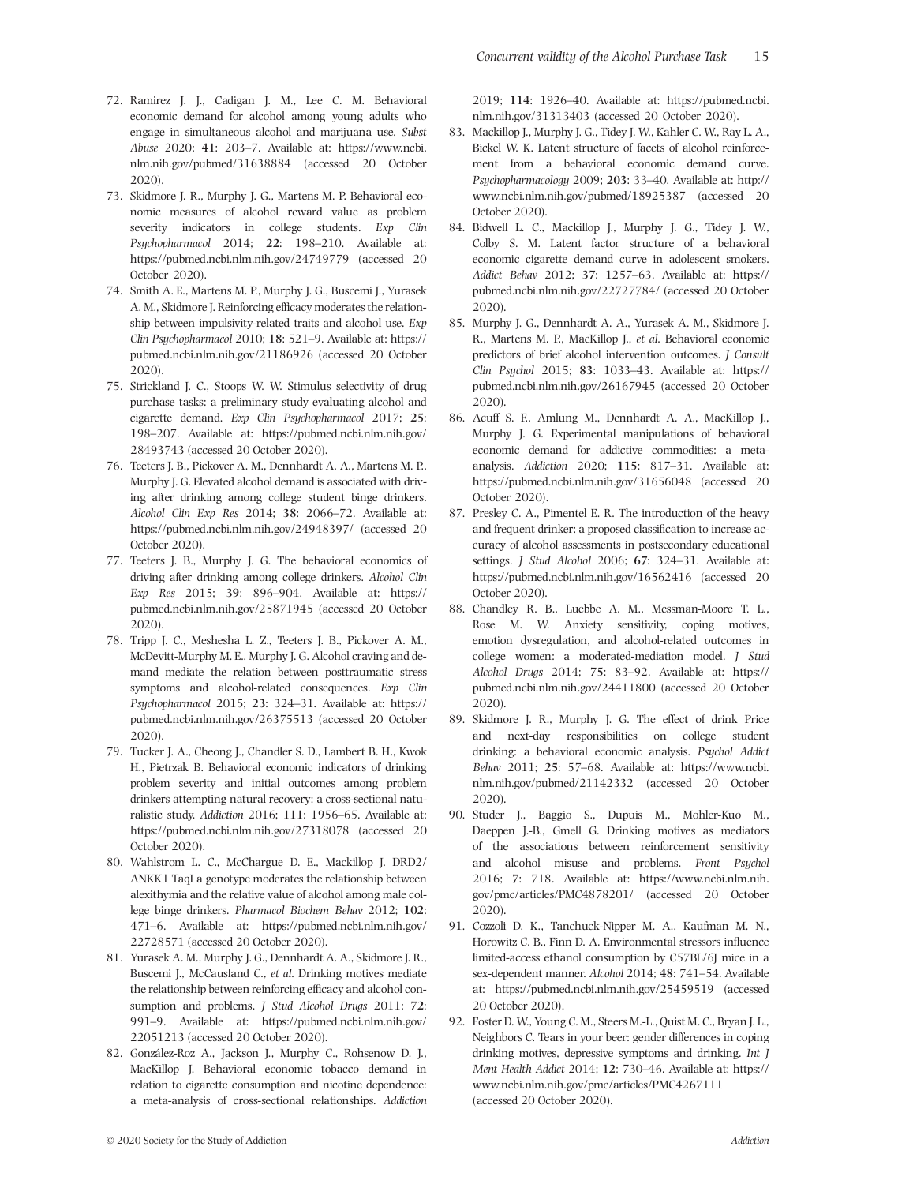- 72. Ramirez J. J., Cadigan J. M., Lee C. M. Behavioral economic demand for alcohol among young adults who engage in simultaneous alcohol and marijuana use. *Subst Abuse* 2020; **41**: 203–7. Available at: [https://www.ncbi.](https://www.ncbi.nlm.nih.gov/pubmed/31638884) [nlm.nih.gov/pubmed/31638884](https://www.ncbi.nlm.nih.gov/pubmed/31638884) (accessed 20 October 2020).
- 73. Skidmore J. R., Murphy J. G., Martens M. P. Behavioral economic measures of alcohol reward value as problem severity indicators in college students. *Exp Clin Psychopharmacol* 2014; **22**: 198–210. Available at: <https://pubmed.ncbi.nlm.nih.gov/24749779> (accessed 20 October 2020).
- 74. Smith A. E., Martens M. P., Murphy J. G., Buscemi J., Yurasek A. M., Skidmore J. Reinforcing efficacy moderates the relationship between impulsivity-related traits and alcohol use. *Exp Clin Psychopharmacol* 2010; **18**: 521–9. Available at: [https://](https://pubmed.ncbi.nlm.nih.gov/21186926) [pubmed.ncbi.nlm.nih.gov/21186926](https://pubmed.ncbi.nlm.nih.gov/21186926) (accessed 20 October 2020).
- 75. Strickland J. C., Stoops W. W. Stimulus selectivity of drug purchase tasks: a preliminary study evaluating alcohol and cigarette demand. *Exp Clin Psychopharmacol* 2017; **25**: 198–207. Available at: [https://pubmed.ncbi.nlm.nih.gov/](https://pubmed.ncbi.nlm.nih.gov/28493743) [28493743](https://pubmed.ncbi.nlm.nih.gov/28493743) (accessed 20 October 2020).
- 76. Teeters J. B., Pickover A. M., Dennhardt A. A., Martens M. P., Murphy J. G. Elevated alcohol demand is associated with driving after drinking among college student binge drinkers. *Alcohol Clin Exp Res* 2014; **38**: 2066–72. Available at: <https://pubmed.ncbi.nlm.nih.gov/24948397/> (accessed 20 October 2020).
- 77. Teeters J. B., Murphy J. G. The behavioral economics of driving after drinking among college drinkers. *Alcohol Clin Exp Res* 2015; **39**: 896–904. Available at: [https://](https://pubmed.ncbi.nlm.nih.gov/25871945) [pubmed.ncbi.nlm.nih.gov/25871945](https://pubmed.ncbi.nlm.nih.gov/25871945) (accessed 20 October 2020).
- 78. Tripp J. C., Meshesha L. Z., Teeters J. B., Pickover A. M., McDevitt-Murphy M. E., Murphy J. G. Alcohol craving and demand mediate the relation between posttraumatic stress symptoms and alcohol-related consequences. *Exp Clin Psychopharmacol* 2015; **23**: 324–31. Available at: [https://](https://pubmed.ncbi.nlm.nih.gov/26375513) [pubmed.ncbi.nlm.nih.gov/26375513](https://pubmed.ncbi.nlm.nih.gov/26375513) (accessed 20 October 2020).
- 79. Tucker J. A., Cheong J., Chandler S. D., Lambert B. H., Kwok H., Pietrzak B. Behavioral economic indicators of drinking problem severity and initial outcomes among problem drinkers attempting natural recovery: a cross-sectional naturalistic study. *Addiction* 2016; **111**: 1956–65. Available at: <https://pubmed.ncbi.nlm.nih.gov/27318078> (accessed 20 October 2020).
- 80. Wahlstrom L. C., McChargue D. E., Mackillop J. DRD2/ ANKK1 TaqI a genotype moderates the relationship between alexithymia and the relative value of alcohol among male college binge drinkers. *Pharmacol Biochem Behav* 2012; **102**: 471–6. Available at: [https://pubmed.ncbi.nlm.nih.gov/](https://pubmed.ncbi.nlm.nih.gov/22728571) [22728571](https://pubmed.ncbi.nlm.nih.gov/22728571) (accessed 20 October 2020).
- 81. Yurasek A. M., Murphy J. G., Dennhardt A. A., Skidmore J. R., Buscemi J., McCausland C., *et al*. Drinking motives mediate the relationship between reinforcing efficacy and alcohol consumption and problems. *J Stud Alcohol Drugs* 2011; **72**: 991–9. Available at: [https://pubmed.ncbi.nlm.nih.gov/](https://pubmed.ncbi.nlm.nih.gov/22051213) [22051213](https://pubmed.ncbi.nlm.nih.gov/22051213) (accessed 20 October 2020).
- 82. González-Roz A., Jackson J., Murphy C., Rohsenow D. J., MacKillop J. Behavioral economic tobacco demand in relation to cigarette consumption and nicotine dependence: a meta-analysis of cross-sectional relationships. *Addiction*

2019; **114**: 1926–40. Available at: [https://pubmed.ncbi.](https://pubmed.ncbi.nlm.nih.gov/31313403) [nlm.nih.gov/31313403](https://pubmed.ncbi.nlm.nih.gov/31313403) (accessed 20 October 2020).

- 83. Mackillop J., Murphy J. G., Tidey J. W., Kahler C. W., Ray L. A., Bickel W. K. Latent structure of facets of alcohol reinforcement from a behavioral economic demand curve. *Psychopharmacology* 2009; **203**: 33–40. Available at: [http://](http://www.ncbi.nlm.nih.gov/pubmed/18925387) [www.ncbi.nlm.nih.gov/pubmed/18925387](http://www.ncbi.nlm.nih.gov/pubmed/18925387) (accessed 20 October 2020).
- 84. Bidwell L. C., Mackillop J., Murphy J. G., Tidey J. W., Colby S. M. Latent factor structure of a behavioral economic cigarette demand curve in adolescent smokers. *Addict Behav* 2012; **37**: 1257–63. Available at: [https://](https://pubmed.ncbi.nlm.nih.gov/22727784/) [pubmed.ncbi.nlm.nih.gov/22727784/](https://pubmed.ncbi.nlm.nih.gov/22727784/) (accessed 20 October 2020).
- 85. Murphy J. G., Dennhardt A. A., Yurasek A. M., Skidmore J. R., Martens M. P., MacKillop J., *et al*. Behavioral economic predictors of brief alcohol intervention outcomes. *J Consult Clin Psychol* 2015; **83**: 1033–43. Available at: [https://](https://pubmed.ncbi.nlm.nih.gov/26167945) [pubmed.ncbi.nlm.nih.gov/26167945](https://pubmed.ncbi.nlm.nih.gov/26167945) (accessed 20 October 2020).
- 86. Acuff S. F., Amlung M., Dennhardt A. A., MacKillop J., Murphy J. G. Experimental manipulations of behavioral economic demand for addictive commodities: a metaanalysis. *Addiction* 2020; **115**: 817–31. Available at: <https://pubmed.ncbi.nlm.nih.gov/31656048> (accessed 20 October 2020).
- 87. Presley C. A., Pimentel E. R. The introduction of the heavy and frequent drinker: a proposed classification to increase accuracy of alcohol assessments in postsecondary educational settings. *J Stud Alcohol* 2006; **67**: 324–31. Available at: <https://pubmed.ncbi.nlm.nih.gov/16562416> (accessed 20 October 2020).
- 88. Chandley R. B., Luebbe A. M., Messman-Moore T. L., Rose M. W. Anxiety sensitivity, coping motives, emotion dysregulation, and alcohol-related outcomes in college women: a moderated-mediation model. *J Stud Alcohol Drugs* 2014; **75**: 83–92. Available at: [https://](https://pubmed.ncbi.nlm.nih.gov/24411800) [pubmed.ncbi.nlm.nih.gov/24411800](https://pubmed.ncbi.nlm.nih.gov/24411800) (accessed 20 October 2020).
- 89. Skidmore J. R., Murphy J. G. The effect of drink Price and next-day responsibilities on college student drinking: a behavioral economic analysis. *Psychol Addict Behav* 2011; **25**: 57–68. Available at: [https://www.ncbi.](https://www.ncbi.nlm.nih.gov/pubmed/21142332) [nlm.nih.gov/pubmed/21142332](https://www.ncbi.nlm.nih.gov/pubmed/21142332) (accessed 20 October 2020).
- 90. Studer J., Baggio S., Dupuis M., Mohler-Kuo M., Daeppen J.-B., Gmell G. Drinking motives as mediators of the associations between reinforcement sensitivity and alcohol misuse and problems. *Front Psychol* 2016; **7**: 718. Available at: [https://www.ncbi.nlm.nih.](https://www.ncbi.nlm.nih.gov/pmc/articles/PMC4878201/) [gov/pmc/articles/PMC4878201/](https://www.ncbi.nlm.nih.gov/pmc/articles/PMC4878201/) (accessed 20 October 2020).
- 91. Cozzoli D. K., Tanchuck-Nipper M. A., Kaufman M. N., Horowitz C. B., Finn D. A. Environmental stressors influence limited-access ethanol consumption by C57BL/6J mice in a sex-dependent manner. *Alcohol* 2014; **48**: 741–54. Available at:<https://pubmed.ncbi.nlm.nih.gov/25459519> (accessed 20 October 2020).
- 92. Foster D. W., Young C. M., Steers M.-L., Quist M. C., Bryan J. L., Neighbors C. Tears in your beer: gender differences in coping drinking motives, depressive symptoms and drinking. *Int J Ment Health Addict* 2014; **12**: 730–46. Available at: [https://](https://www.ncbi.nlm.nih.gov/pmc/articles/PMC4267111) [www.ncbi.nlm.nih.gov/pmc/articles/PMC4267111](https://www.ncbi.nlm.nih.gov/pmc/articles/PMC4267111) (accessed 20 October 2020).